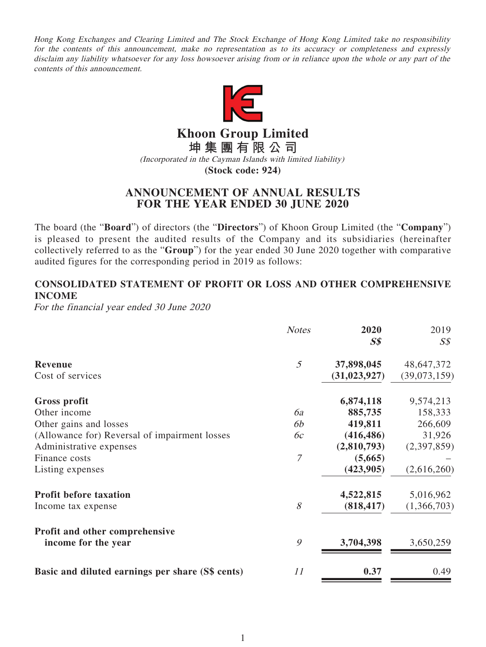Hong Kong Exchanges and Clearing Limited and The Stock Exchange of Hong Kong Limited take no responsibility for the contents of this announcement, make no representation as to its accuracy or completeness and expressly disclaim any liability whatsoever for any loss howsoever arising from or in reliance upon the whole or any part of the contents of this announcement.



**Khoon Group Limited**

**坤集團有限公司**

(Incorporated in the Cayman Islands with limited liability)

**(Stock code: 924)**

# **ANNOUNCEMENT OF ANNUAL RESULTS FOR THE YEAR ENDED 30 JUNE 2020**

The board (the "**Board**") of directors (the "**Directors**") of Khoon Group Limited (the "**Company**") is pleased to present the audited results of the Company and its subsidiaries (hereinafter collectively referred to as the "**Group**") for the year ended 30 June 2020 together with comparative audited figures for the corresponding period in 2019 as follows:

# **CONSOLIDATED STATEMENT OF PROFIT OR LOSS AND OTHER COMPREHENSIVE INCOME**

For the financial year ended 30 June 2020

| <b>Notes</b>   | 2020<br>$S\$   | 2019<br>$S\mathcal{S}$ |
|----------------|----------------|------------------------|
| 5              | 37,898,045     | 48,647,372             |
|                | (31, 023, 927) | (39,073,159)           |
|                | 6,874,118      | 9,574,213              |
| 6a             | 885,735        | 158,333                |
| 6b             | 419,811        | 266,609                |
| 6c             | (416, 486)     | 31,926                 |
|                | (2,810,793)    | (2,397,859)            |
| $\overline{7}$ | (5,665)        |                        |
|                | (423, 905)     | (2,616,260)            |
|                |                | 5,016,962              |
| 8              | (818, 417)     | (1,366,703)            |
|                |                |                        |
| 9              | 3,704,398      | 3,650,259              |
|                |                | 0.49                   |
|                | 11             | 4,522,815<br>0.37      |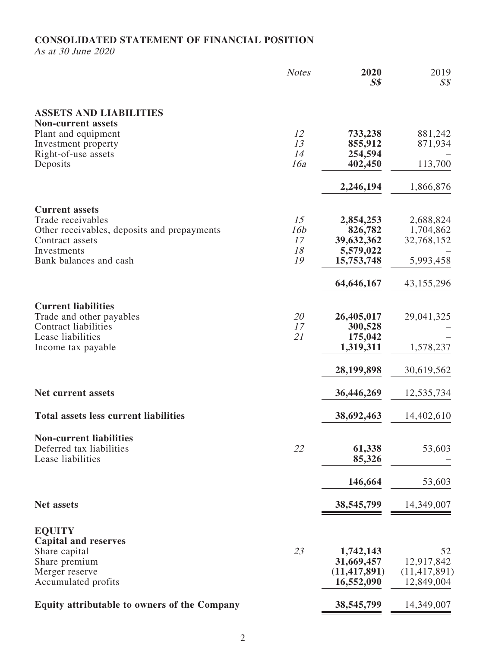## **CONSOLIDATED STATEMENT OF FINANCIAL POSITION**

As at 30 June 2020

|                                                                | <b>Notes</b> | 2020<br>S <sub>s</sub> | 2019<br>$S\mathcal{S}$  |
|----------------------------------------------------------------|--------------|------------------------|-------------------------|
| <b>ASSETS AND LIABILITIES</b>                                  |              |                        |                         |
| <b>Non-current assets</b>                                      |              |                        |                         |
| Plant and equipment                                            | 12<br>13     | 733,238                | 881,242                 |
| Investment property<br>Right-of-use assets                     | 14           | 855,912<br>254,594     | 871,934                 |
| Deposits                                                       | 16a          | 402,450                | 113,700                 |
|                                                                |              | 2,246,194              | 1,866,876               |
| <b>Current assets</b>                                          |              |                        |                         |
| Trade receivables                                              | 15           | 2,854,253              | 2,688,824               |
| Other receivables, deposits and prepayments<br>Contract assets | 16b<br>17    | 826,782<br>39,632,362  | 1,704,862<br>32,768,152 |
| Investments                                                    | 18           | 5,579,022              |                         |
| Bank balances and cash                                         | 19           | 15,753,748             | 5,993,458               |
|                                                                |              | 64,646,167             | 43,155,296              |
| <b>Current liabilities</b>                                     |              |                        |                         |
| Trade and other payables                                       | 20           | 26,405,017             | 29,041,325              |
| <b>Contract liabilities</b>                                    | 17           | 300,528                |                         |
| Lease liabilities                                              | 21           | 175,042                |                         |
| Income tax payable                                             |              | 1,319,311              | 1,578,237               |
|                                                                |              | 28,199,898             | 30,619,562              |
| <b>Net current assets</b>                                      |              | 36,446,269             | 12,535,734              |
| <b>Total assets less current liabilities</b>                   |              | 38,692,463             | 14,402,610              |
| <b>Non-current liabilities</b>                                 |              |                        |                         |
| Deferred tax liabilities                                       | 22           | 61,338                 | 53,603                  |
| Lease liabilities                                              |              | 85,326                 |                         |
|                                                                |              | 146,664                | 53,603                  |
| <b>Net assets</b>                                              |              | 38,545,799             | 14,349,007              |
|                                                                |              |                        |                         |
| <b>EQUITY</b><br><b>Capital and reserves</b>                   |              |                        |                         |
| Share capital                                                  | 23           | 1,742,143              | 52                      |
| Share premium                                                  |              | 31,669,457             | 12,917,842              |
| Merger reserve                                                 |              | (11, 417, 891)         | (11, 417, 891)          |
| Accumulated profits                                            |              | 16,552,090             | 12,849,004              |
| <b>Equity attributable to owners of the Company</b>            |              | 38,545,799             | 14,349,007              |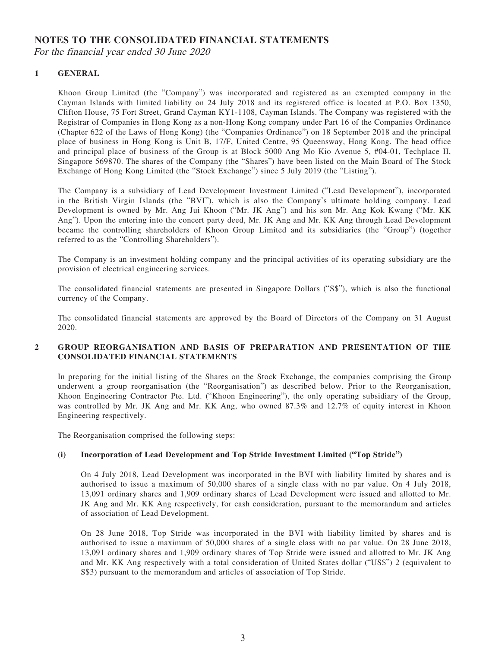## **NOTES TO THE CONSOLIDATED FINANCIAL STATEMENTS**

For the financial year ended 30 June 2020

### **1 GENERAL**

Khoon Group Limited (the "Company") was incorporated and registered as an exempted company in the Cayman Islands with limited liability on 24 July 2018 and its registered office is located at P.O. Box 1350, Clifton House, 75 Fort Street, Grand Cayman KY1-1108, Cayman Islands. The Company was registered with the Registrar of Companies in Hong Kong as a non-Hong Kong company under Part 16 of the Companies Ordinance (Chapter 622 of the Laws of Hong Kong) (the "Companies Ordinance") on 18 September 2018 and the principal place of business in Hong Kong is Unit B, 17/F, United Centre, 95 Queensway, Hong Kong. The head office and principal place of business of the Group is at Block 5000 Ang Mo Kio Avenue 5, #04-01, Techplace II, Singapore 569870. The shares of the Company (the "Shares") have been listed on the Main Board of The Stock Exchange of Hong Kong Limited (the "Stock Exchange") since 5 July 2019 (the "Listing").

The Company is a subsidiary of Lead Development Investment Limited ("Lead Development"), incorporated in the British Virgin Islands (the "BVI"), which is also the Company's ultimate holding company. Lead Development is owned by Mr. Ang Jui Khoon ("Mr. JK Ang") and his son Mr. Ang Kok Kwang ("Mr. KK Ang"). Upon the entering into the concert party deed, Mr. JK Ang and Mr. KK Ang through Lead Development became the controlling shareholders of Khoon Group Limited and its subsidiaries (the "Group") (together referred to as the "Controlling Shareholders").

The Company is an investment holding company and the principal activities of its operating subsidiary are the provision of electrical engineering services.

The consolidated financial statements are presented in Singapore Dollars ("S\$"), which is also the functional currency of the Company.

The consolidated financial statements are approved by the Board of Directors of the Company on 31 August 2020.

### **2 GROUP REORGANISATION AND BASIS OF PREPARATION AND PRESENTATION OF THE CONSOLIDATED FINANCIAL STATEMENTS**

In preparing for the initial listing of the Shares on the Stock Exchange, the companies comprising the Group underwent a group reorganisation (the "Reorganisation") as described below. Prior to the Reorganisation, Khoon Engineering Contractor Pte. Ltd. ("Khoon Engineering"), the only operating subsidiary of the Group, was controlled by Mr. JK Ang and Mr. KK Ang, who owned 87.3% and 12.7% of equity interest in Khoon Engineering respectively.

The Reorganisation comprised the following steps:

### **(i) Incorporation of Lead Development and Top Stride Investment Limited ("Top Stride")**

On 4 July 2018, Lead Development was incorporated in the BVI with liability limited by shares and is authorised to issue a maximum of 50,000 shares of a single class with no par value. On 4 July 2018, 13,091 ordinary shares and 1,909 ordinary shares of Lead Development were issued and allotted to Mr. JK Ang and Mr. KK Ang respectively, for cash consideration, pursuant to the memorandum and articles of association of Lead Development.

On 28 June 2018, Top Stride was incorporated in the BVI with liability limited by shares and is authorised to issue a maximum of 50,000 shares of a single class with no par value. On 28 June 2018, 13,091 ordinary shares and 1,909 ordinary shares of Top Stride were issued and allotted to Mr. JK Ang and Mr. KK Ang respectively with a total consideration of United States dollar ("US\$") 2 (equivalent to S\$3) pursuant to the memorandum and articles of association of Top Stride.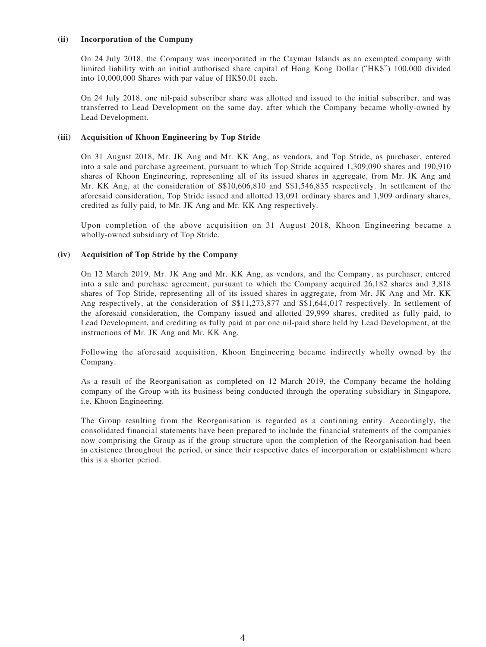#### **(ii) Incorporation of the Company**

On 24 July 2018, the Company was incorporated in the Cayman Islands as an exempted company with limited liability with an initial authorised share capital of Hong Kong Dollar ("HK\$") 100,000 divided into 10,000,000 Shares with par value of HK\$0.01 each.

On 24 July 2018, one nil-paid subscriber share was allotted and issued to the initial subscriber, and was transferred to Lead Development on the same day, after which the Company became wholly-owned by Lead Development.

#### **(iii) Acquisition of Khoon Engineering by Top Stride**

On 31 August 2018, Mr. JK Ang and Mr. KK Ang, as vendors, and Top Stride, as purchaser, entered into a sale and purchase agreement, pursuant to which Top Stride acquired 1,309,090 shares and 190,910 shares of Khoon Engineering, representing all of its issued shares in aggregate, from Mr. JK Ang and Mr. KK Ang, at the consideration of S\$10,606,810 and S\$1,546,835 respectively. In settlement of the aforesaid consideration, Top Stride issued and allotted 13,091 ordinary shares and 1,909 ordinary shares, credited as fully paid, to Mr. JK Ang and Mr. KK Ang respectively.

Upon completion of the above acquisition on 31 August 2018, Khoon Engineering became a wholly-owned subsidiary of Top Stride.

#### **(iv) Acquisition of Top Stride by the Company**

On 12 March 2019, Mr. JK Ang and Mr. KK Ang, as vendors, and the Company, as purchaser, entered into a sale and purchase agreement, pursuant to which the Company acquired 26,182 shares and 3,818 shares of Top Stride, representing all of its issued shares in aggregate, from Mr. JK Ang and Mr. KK Ang respectively, at the consideration of S\$11,273,877 and S\$1,644,017 respectively. In settlement of the aforesaid consideration, the Company issued and allotted 29,999 shares, credited as fully paid, to Lead Development, and crediting as fully paid at par one nil-paid share held by Lead Development, at the instructions of Mr. JK Ang and Mr. KK Ang.

Following the aforesaid acquisition, Khoon Engineering became indirectly wholly owned by the Company.

As a result of the Reorganisation as completed on 12 March 2019, the Company became the holding company of the Group with its business being conducted through the operating subsidiary in Singapore, i.e. Khoon Engineering.

The Group resulting from the Reorganisation is regarded as a continuing entity. Accordingly, the consolidated financial statements have been prepared to include the financial statements of the companies now comprising the Group as if the group structure upon the completion of the Reorganisation had been in existence throughout the period, or since their respective dates of incorporation or establishment where this is a shorter period.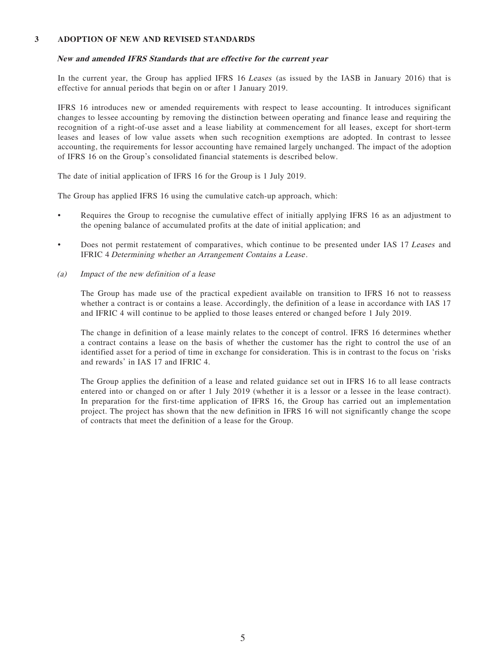#### **3 ADOPTION OF NEW AND REVISED STANDARDS**

#### **New and amended IFRS Standards that are effective for the current year**

In the current year, the Group has applied IFRS 16 Leases (as issued by the IASB in January 2016) that is effective for annual periods that begin on or after 1 January 2019.

IFRS 16 introduces new or amended requirements with respect to lease accounting. It introduces significant changes to lessee accounting by removing the distinction between operating and finance lease and requiring the recognition of a right-of-use asset and a lease liability at commencement for all leases, except for short-term leases and leases of low value assets when such recognition exemptions are adopted. In contrast to lessee accounting, the requirements for lessor accounting have remained largely unchanged. The impact of the adoption of IFRS 16 on the Group's consolidated financial statements is described below.

The date of initial application of IFRS 16 for the Group is 1 July 2019.

The Group has applied IFRS 16 using the cumulative catch-up approach, which:

- Requires the Group to recognise the cumulative effect of initially applying IFRS 16 as an adjustment to the opening balance of accumulated profits at the date of initial application; and
- Does not permit restatement of comparatives, which continue to be presented under IAS 17 Leases and IFRIC 4 Determining whether an Arrangement Contains a Lease .
- (a) Impact of the new definition of a lease

The Group has made use of the practical expedient available on transition to IFRS 16 not to reassess whether a contract is or contains a lease. Accordingly, the definition of a lease in accordance with IAS 17 and IFRIC 4 will continue to be applied to those leases entered or changed before 1 July 2019.

The change in definition of a lease mainly relates to the concept of control. IFRS 16 determines whether a contract contains a lease on the basis of whether the customer has the right to control the use of an identified asset for a period of time in exchange for consideration. This is in contrast to the focus on 'risks and rewards' in IAS 17 and IFRIC 4.

The Group applies the definition of a lease and related guidance set out in IFRS 16 to all lease contracts entered into or changed on or after 1 July 2019 (whether it is a lessor or a lessee in the lease contract). In preparation for the first-time application of IFRS 16, the Group has carried out an implementation project. The project has shown that the new definition in IFRS 16 will not significantly change the scope of contracts that meet the definition of a lease for the Group.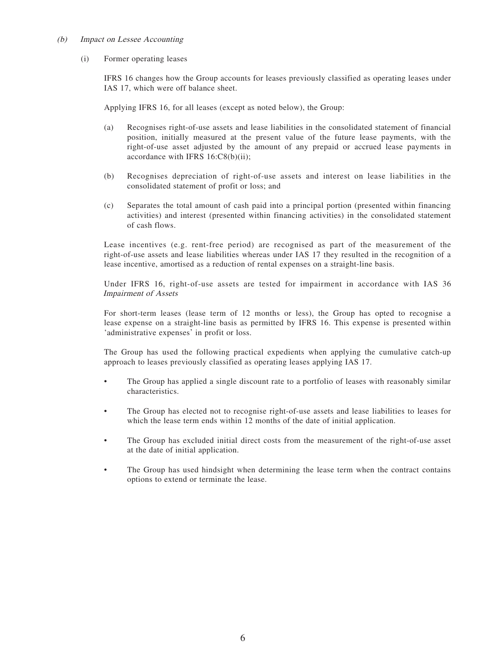#### (b) Impact on Lessee Accounting

#### (i) Former operating leases

IFRS 16 changes how the Group accounts for leases previously classified as operating leases under IAS 17, which were off balance sheet.

Applying IFRS 16, for all leases (except as noted below), the Group:

- (a) Recognises right-of-use assets and lease liabilities in the consolidated statement of financial position, initially measured at the present value of the future lease payments, with the right-of-use asset adjusted by the amount of any prepaid or accrued lease payments in accordance with IFRS 16:C8(b)(ii);
- (b) Recognises depreciation of right-of-use assets and interest on lease liabilities in the consolidated statement of profit or loss; and
- (c) Separates the total amount of cash paid into a principal portion (presented within financing activities) and interest (presented within financing activities) in the consolidated statement of cash flows.

Lease incentives (e.g. rent-free period) are recognised as part of the measurement of the right-of-use assets and lease liabilities whereas under IAS 17 they resulted in the recognition of a lease incentive, amortised as a reduction of rental expenses on a straight-line basis.

Under IFRS 16, right-of-use assets are tested for impairment in accordance with IAS 36 Impairment of Assets

For short-term leases (lease term of 12 months or less), the Group has opted to recognise a lease expense on a straight-line basis as permitted by IFRS 16. This expense is presented within 'administrative expenses' in profit or loss.

The Group has used the following practical expedients when applying the cumulative catch-up approach to leases previously classified as operating leases applying IAS 17.

- The Group has applied a single discount rate to a portfolio of leases with reasonably similar characteristics.
- The Group has elected not to recognise right-of-use assets and lease liabilities to leases for which the lease term ends within 12 months of the date of initial application.
- The Group has excluded initial direct costs from the measurement of the right-of-use asset at the date of initial application.
- The Group has used hindsight when determining the lease term when the contract contains options to extend or terminate the lease.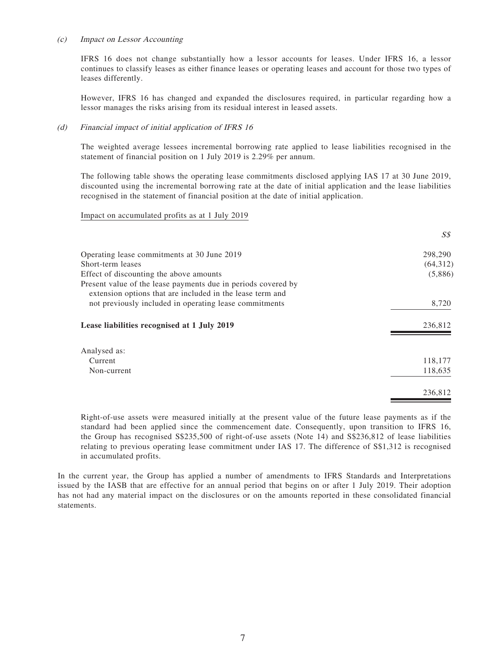#### (c) Impact on Lessor Accounting

IFRS 16 does not change substantially how a lessor accounts for leases. Under IFRS 16, a lessor continues to classify leases as either finance leases or operating leases and account for those two types of leases differently.

However, IFRS 16 has changed and expanded the disclosures required, in particular regarding how a lessor manages the risks arising from its residual interest in leased assets.

#### (d) Financial impact of initial application of IFRS 16

The weighted average lessees incremental borrowing rate applied to lease liabilities recognised in the statement of financial position on 1 July 2019 is 2.29% per annum.

The following table shows the operating lease commitments disclosed applying IAS 17 at 30 June 2019, discounted using the incremental borrowing rate at the date of initial application and the lease liabilities recognised in the statement of financial position at the date of initial application.

#### Impact on accumulated profits as at 1 July 2019

|                                                                                                                            | S\$      |
|----------------------------------------------------------------------------------------------------------------------------|----------|
| Operating lease commitments at 30 June 2019                                                                                | 298,290  |
| Short-term leases                                                                                                          | (64,312) |
| Effect of discounting the above amounts                                                                                    | (5,886)  |
| Present value of the lease payments due in periods covered by<br>extension options that are included in the lease term and |          |
| not previously included in operating lease commitments                                                                     | 8,720    |
| Lease liabilities recognised at 1 July 2019                                                                                | 236,812  |
| Analysed as:                                                                                                               |          |
| Current                                                                                                                    | 118,177  |
| Non-current                                                                                                                | 118,635  |
|                                                                                                                            | 236,812  |

Right-of-use assets were measured initially at the present value of the future lease payments as if the standard had been applied since the commencement date. Consequently, upon transition to IFRS 16, the Group has recognised S\$235,500 of right-of-use assets (Note 14) and S\$236,812 of lease liabilities relating to previous operating lease commitment under IAS 17. The difference of S\$1,312 is recognised in accumulated profits.

In the current year, the Group has applied a number of amendments to IFRS Standards and Interpretations issued by the IASB that are effective for an annual period that begins on or after 1 July 2019. Their adoption has not had any material impact on the disclosures or on the amounts reported in these consolidated financial statements.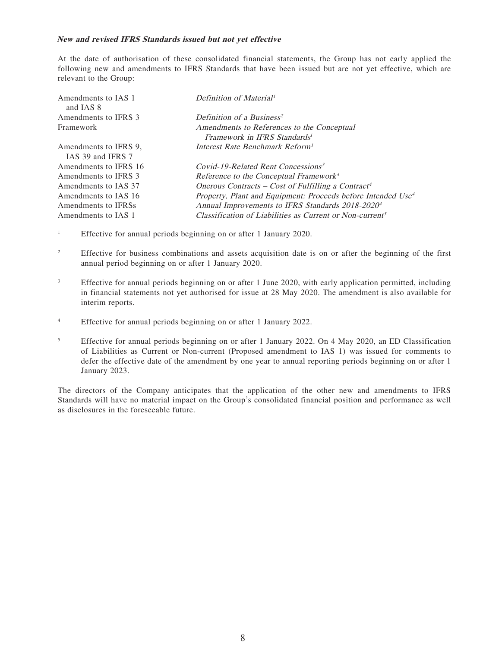#### **New and revised IFRS Standards issued but not yet effective**

At the date of authorisation of these consolidated financial statements, the Group has not early applied the following new and amendments to IFRS Standards that have been issued but are not yet effective, which are relevant to the Group:

| Amendments to IAS 1<br>and IAS 8 | Definition of Material <sup>1</sup>                                      |
|----------------------------------|--------------------------------------------------------------------------|
| Amendments to IFRS 3             | Definition of a Business <sup>2</sup>                                    |
| Framework                        | Amendments to References to the Conceptual                               |
|                                  | Framework in IFRS Standards <sup>1</sup>                                 |
| Amendments to IFRS 9.            | Interest Rate Benchmark Reform <sup>1</sup>                              |
| IAS 39 and IFRS 7                |                                                                          |
| Amendments to IFRS 16            | Covid-19-Related Rent Concessions <sup>3</sup>                           |
| Amendments to IFRS 3             | Reference to the Conceptual Framework <sup>4</sup>                       |
| Amendments to IAS 37             | Onerous Contracts – Cost of Fulfilling a Contract <sup>4</sup>           |
| Amendments to IAS 16             | Property, Plant and Equipment: Proceeds before Intended Use <sup>4</sup> |
| Amendments to IFRSs              | Annual Improvements to IFRS Standards 2018-2020 <sup>4</sup>             |
| Amendments to IAS 1              | Classification of Liabilities as Current or Non-current <sup>5</sup>     |

- 1 Effective for annual periods beginning on or after 1 January 2020.
- 2 Effective for business combinations and assets acquisition date is on or after the beginning of the first annual period beginning on or after 1 January 2020.
- 3 Effective for annual periods beginning on or after 1 June 2020, with early application permitted, including in financial statements not yet authorised for issue at 28 May 2020. The amendment is also available for interim reports.
- 4 Effective for annual periods beginning on or after 1 January 2022.
- 5 Effective for annual periods beginning on or after 1 January 2022. On 4 May 2020, an ED Classification of Liabilities as Current or Non-current (Proposed amendment to IAS 1) was issued for comments to defer the effective date of the amendment by one year to annual reporting periods beginning on or after 1 January 2023.

The directors of the Company anticipates that the application of the other new and amendments to IFRS Standards will have no material impact on the Group's consolidated financial position and performance as well as disclosures in the foreseeable future.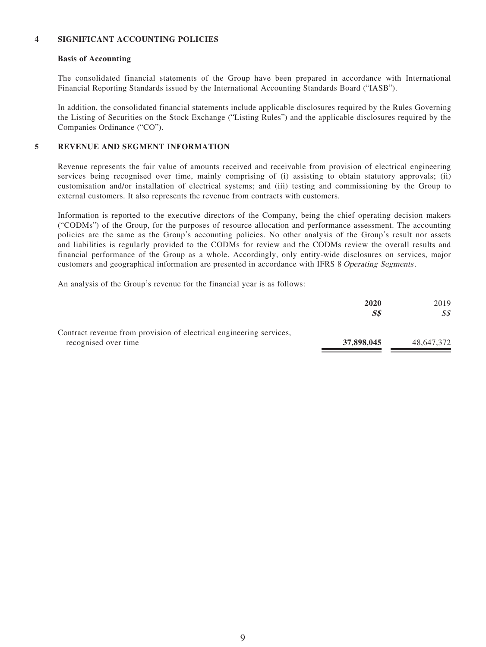### **4 SIGNIFICANT ACCOUNTING POLICIES**

#### **Basis of Accounting**

The consolidated financial statements of the Group have been prepared in accordance with International Financial Reporting Standards issued by the International Accounting Standards Board ("IASB").

In addition, the consolidated financial statements include applicable disclosures required by the Rules Governing the Listing of Securities on the Stock Exchange ("Listing Rules") and the applicable disclosures required by the Companies Ordinance ("CO").

### **5 REVENUE AND SEGMENT INFORMATION**

Revenue represents the fair value of amounts received and receivable from provision of electrical engineering services being recognised over time, mainly comprising of (i) assisting to obtain statutory approvals; (ii) customisation and/or installation of electrical systems; and (iii) testing and commissioning by the Group to external customers. It also represents the revenue from contracts with customers.

Information is reported to the executive directors of the Company, being the chief operating decision makers ("CODMs") of the Group, for the purposes of resource allocation and performance assessment. The accounting policies are the same as the Group's accounting policies. No other analysis of the Group's result nor assets and liabilities is regularly provided to the CODMs for review and the CODMs review the overall results and financial performance of the Group as a whole. Accordingly, only entity-wide disclosures on services, major customers and geographical information are presented in accordance with IFRS 8 Operating Segments.

An analysis of the Group's revenue for the financial year is as follows:

|                                                                     | 2020       | 2019       |
|---------------------------------------------------------------------|------------|------------|
|                                                                     | SS         | SS         |
| Contract revenue from provision of electrical engineering services, |            |            |
| recognised over time                                                | 37,898,045 | 48,647,372 |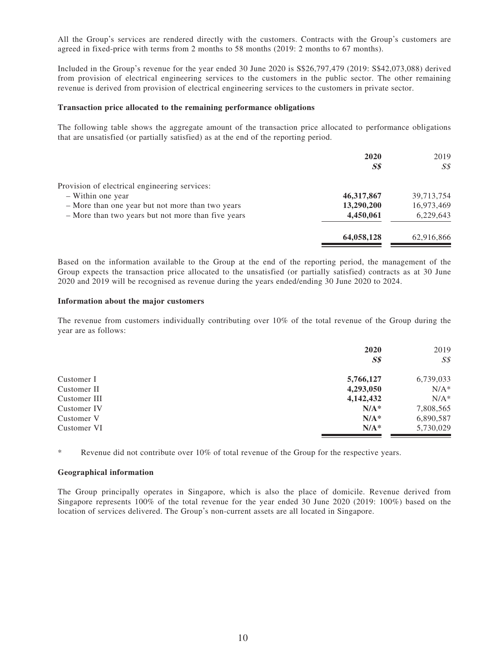All the Group's services are rendered directly with the customers. Contracts with the Group's customers are agreed in fixed-price with terms from 2 months to 58 months (2019: 2 months to 67 months).

Included in the Group's revenue for the year ended 30 June 2020 is S\$26,797,479 (2019: S\$42,073,088) derived from provision of electrical engineering services to the customers in the public sector. The other remaining revenue is derived from provision of electrical engineering services to the customers in private sector.

#### **Transaction price allocated to the remaining performance obligations**

The following table shows the aggregate amount of the transaction price allocated to performance obligations that are unsatisfied (or partially satisfied) as at the end of the reporting period.

|                                                    | 2020           | 2019       |
|----------------------------------------------------|----------------|------------|
|                                                    | S <sub>s</sub> | SS         |
| Provision of electrical engineering services:      |                |            |
| - Within one year                                  | 46, 317, 867   | 39,713,754 |
| - More than one year but not more than two years   | 13,290,200     | 16,973,469 |
| - More than two years but not more than five years | 4,450,061      | 6,229,643  |
|                                                    | 64,058,128     | 62,916,866 |

Based on the information available to the Group at the end of the reporting period, the management of the Group expects the transaction price allocated to the unsatisfied (or partially satisfied) contracts as at 30 June 2020 and 2019 will be recognised as revenue during the years ended/ending 30 June 2020 to 2024.

#### **Information about the major customers**

The revenue from customers individually contributing over 10% of the total revenue of the Group during the year are as follows:

|              | 2020<br>S <sub>s</sub> | 2019<br>$S\mathcal{S}$ |
|--------------|------------------------|------------------------|
| Customer I   | 5,766,127              | 6,739,033              |
| Customer II  | 4,293,050              | $N/A^*$                |
| Customer III | 4,142,432              | $N/A^*$                |
| Customer IV  | $N/A^*$                | 7,808,565              |
| Customer V   | $N/A^*$                | 6,890,587              |
| Customer VI  | $N/A^*$                | 5,730,029              |

\* Revenue did not contribute over 10% of total revenue of the Group for the respective years.

#### **Geographical information**

The Group principally operates in Singapore, which is also the place of domicile. Revenue derived from Singapore represents 100% of the total revenue for the year ended 30 June 2020 (2019: 100%) based on the location of services delivered. The Group's non-current assets are all located in Singapore.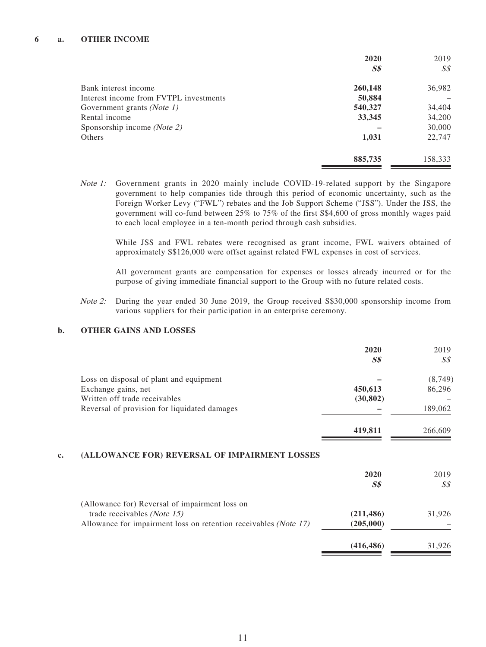#### **6 a. OTHER INCOME**

|                                        | 2020           | 2019           |
|----------------------------------------|----------------|----------------|
|                                        | S <sub>s</sub> | S <sub>S</sub> |
| Bank interest income                   | 260,148        | 36,982         |
| Interest income from FVTPL investments | 50,884         |                |
| Government grants (Note 1)             | 540,327        | 34,404         |
| Rental income                          | 33,345         | 34,200         |
| Sponsorship income (Note 2)            |                | 30,000         |
| Others                                 | 1,031          | 22,747         |
|                                        | 885,735        | 158,333        |

Note 1: Government grants in 2020 mainly include COVID-19-related support by the Singapore government to help companies tide through this period of economic uncertainty, such as the Foreign Worker Levy ("FWL") rebates and the Job Support Scheme ("JSS"). Under the JSS, the government will co-fund between 25% to 75% of the first S\$4,600 of gross monthly wages paid to each local employee in a ten-month period through cash subsidies.

While JSS and FWL rebates were recognised as grant income, FWL waivers obtained of approximately S\$126,000 were offset against related FWL expenses in cost of services.

All government grants are compensation for expenses or losses already incurred or for the purpose of giving immediate financial support to the Group with no future related costs.

Note 2: During the year ended 30 June 2019, the Group received S\$30,000 sponsorship income from various suppliers for their participation in an enterprise ceremony.

#### **b. OTHER GAINS AND LOSSES**

|                                                                  | 2020                           | 2019           |
|------------------------------------------------------------------|--------------------------------|----------------|
|                                                                  | S <sub>s</sub>                 | $S\mathcal{S}$ |
| Loss on disposal of plant and equipment                          |                                | (8,749)        |
| Exchange gains, net                                              | 450,613                        | 86,296         |
| Written off trade receivables                                    | (30, 802)                      |                |
| Reversal of provision for liquidated damages                     |                                | 189,062        |
|                                                                  | 419,811                        | 266,609        |
| (ALLOWANCE FOR) REVERSAL OF IMPAIRMENT LOSSES                    |                                |                |
|                                                                  | 2020                           | 2019           |
|                                                                  | $\boldsymbol{S}\boldsymbol{S}$ |                |
|                                                                  |                                | S <sub>s</sub> |
| (Allowance for) Reversal of impairment loss on                   |                                |                |
| trade receivables ( <i>Note 15</i> )                             | (211, 486)                     | 31,926         |
| Allowance for impairment loss on retention receivables (Note 17) | (205,000)                      |                |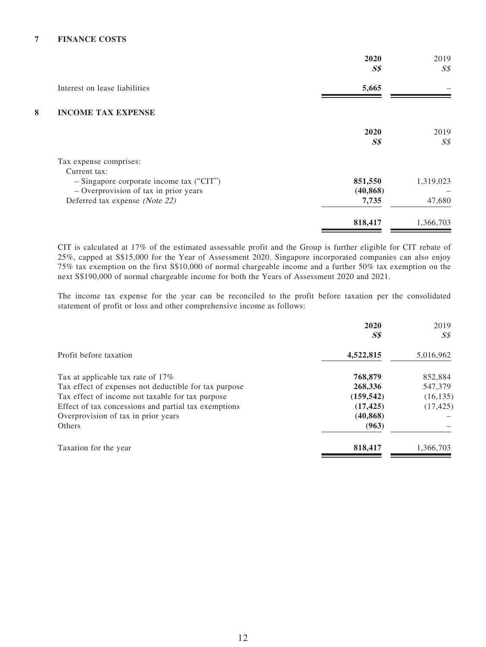|   |                                            | 2020<br>$S\$   | 2019<br>S <sub>s</sub> |
|---|--------------------------------------------|----------------|------------------------|
|   | Interest on lease liabilities              | 5,665          |                        |
| 8 | <b>INCOME TAX EXPENSE</b>                  |                |                        |
|   |                                            | 2020           | 2019                   |
|   |                                            | S <sub>s</sub> | S <sub>s</sub>         |
|   | Tax expense comprises:                     |                |                        |
|   | Current tax:                               |                |                        |
|   | $-$ Singapore corporate income tax ("CIT") | 851,550        | 1,319,023              |
|   | - Overprovision of tax in prior years      | (40, 868)      |                        |
|   | Deferred tax expense (Note 22)             | 7,735          | 47,680                 |
|   |                                            | 818,417        | 1,366,703              |

CIT is calculated at 17% of the estimated assessable profit and the Group is further eligible for CIT rebate of 25%, capped at S\$15,000 for the Year of Assessment 2020. Singapore incorporated companies can also enjoy 75% tax exemption on the first S\$10,000 of normal chargeable income and a further 50% tax exemption on the next S\$190,000 of normal chargeable income for both the Years of Assessment 2020 and 2021.

The income tax expense for the year can be reconciled to the profit before taxation per the consolidated statement of profit or loss and other comprehensive income as follows:

|                                                       | 2020<br>$S\$ | 2019<br>SS |
|-------------------------------------------------------|--------------|------------|
| Profit before taxation                                | 4,522,815    | 5,016,962  |
| Tax at applicable tax rate of 17%                     | 768,879      | 852,884    |
| Tax effect of expenses not deductible for tax purpose | 268,336      | 547,379    |
| Tax effect of income not taxable for tax purpose      | (159, 542)   | (16, 135)  |
| Effect of tax concessions and partial tax exemptions  | (17, 425)    | (17, 425)  |
| Overprovision of tax in prior years                   | (40, 868)    |            |
| Others                                                | (963)        |            |
| Taxation for the year                                 | 818,417      | 1,366,703  |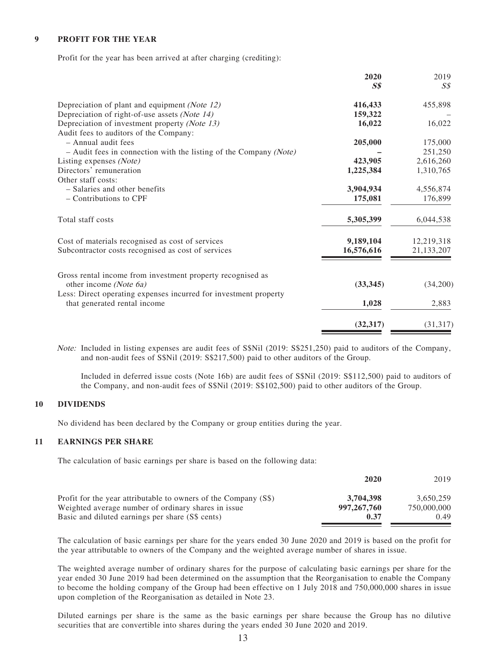#### **9 PROFIT FOR THE YEAR**

Profit for the year has been arrived at after charging (crediting):

|                                                                                                  | 2020           | 2019       |
|--------------------------------------------------------------------------------------------------|----------------|------------|
|                                                                                                  | S <sub>s</sub> | S\$        |
| Depreciation of plant and equipment (Note 12)                                                    | 416,433        | 455,898    |
| Depreciation of right-of-use assets (Note 14)                                                    | 159,322        |            |
| Depreciation of investment property (Note 13)                                                    | 16,022         | 16,022     |
| Audit fees to auditors of the Company:                                                           |                |            |
| $-$ Annual audit fees                                                                            | 205,000        | 175,000    |
| $-$ Audit fees in connection with the listing of the Company (Note)                              |                | 251,250    |
| Listing expenses (Note)                                                                          | 423,905        | 2,616,260  |
| Directors' remuneration                                                                          | 1,225,384      | 1,310,765  |
| Other staff costs:                                                                               |                |            |
| - Salaries and other benefits                                                                    | 3,904,934      | 4,556,874  |
| - Contributions to CPF                                                                           | 175,081        | 176,899    |
| Total staff costs                                                                                | 5,305,399      | 6,044,538  |
| Cost of materials recognised as cost of services                                                 | 9,189,104      | 12,219,318 |
| Subcontractor costs recognised as cost of services                                               | 16,576,616     | 21,133,207 |
| Gross rental income from investment property recognised as                                       |                |            |
| other income (Note 6a)                                                                           | (33, 345)      | (34,200)   |
| Less: Direct operating expenses incurred for investment property<br>that generated rental income | 1,028          | 2,883      |
|                                                                                                  | (32, 317)      | (31, 317)  |

Note: Included in listing expenses are audit fees of S\$Nil (2019: S\$251,250) paid to auditors of the Company, and non-audit fees of S\$Nil (2019: S\$217,500) paid to other auditors of the Group.

Included in deferred issue costs (Note 16b) are audit fees of S\$Nil (2019: S\$112,500) paid to auditors of the Company, and non-audit fees of S\$Nil (2019: S\$102,500) paid to other auditors of the Group.

#### **10 DIVIDENDS**

No dividend has been declared by the Company or group entities during the year.

#### **11 EARNINGS PER SHARE**

The calculation of basic earnings per share is based on the following data:

|                                                                 | 2020          | 2019        |
|-----------------------------------------------------------------|---------------|-------------|
| Profit for the year attributable to owners of the Company (S\$) | 3,704,398     | 3.650.259   |
| Weighted average number of ordinary shares in issue             | 997, 267, 760 | 750,000,000 |
| Basic and diluted earnings per share (S\$ cents)                | 0.37          | 0.49        |

The calculation of basic earnings per share for the years ended 30 June 2020 and 2019 is based on the profit for the year attributable to owners of the Company and the weighted average number of shares in issue.

The weighted average number of ordinary shares for the purpose of calculating basic earnings per share for the year ended 30 June 2019 had been determined on the assumption that the Reorganisation to enable the Company to become the holding company of the Group had been effective on 1 July 2018 and 750,000,000 shares in issue upon completion of the Reorganisation as detailed in Note 23.

Diluted earnings per share is the same as the basic earnings per share because the Group has no dilutive securities that are convertible into shares during the years ended 30 June 2020 and 2019.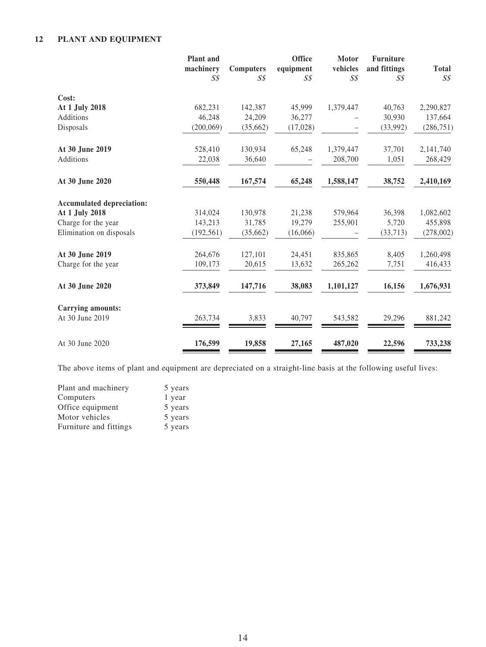### **12 PLANT AND EQUIPMENT**

|                                  | <b>Plant</b> and<br>machinery | <b>Computers</b> | <b>Office</b><br>equipment | Motor<br>vehicles | <b>Furniture</b><br>and fittings | <b>Total</b>   |
|----------------------------------|-------------------------------|------------------|----------------------------|-------------------|----------------------------------|----------------|
|                                  | $S\mathcal{S}$                | $S\mathcal{S}$   | S <sub>s</sub>             | $S\mathcal{S}$    | S\$                              | $S\mathcal{S}$ |
| Cost:                            |                               |                  |                            |                   |                                  |                |
| At 1 July 2018                   | 682,231                       | 142,387          | 45,999                     | 1,379,447         | 40,763                           | 2,290,827      |
| Additions                        | 46,248                        | 24,209           | 36,277                     |                   | 30,930                           | 137,664        |
| Disposals                        | (200, 069)                    | (35,662)         | (17,028)                   |                   | (33,992)                         | (286, 751)     |
| At 30 June 2019                  | 528,410                       | 130,934          | 65,248                     | 1,379,447         | 37,701                           | 2,141,740      |
| Additions                        | 22,038                        | 36,640           |                            | 208,700           | 1,051                            | 268,429        |
| At 30 June 2020                  | 550,448                       | 167,574          | 65,248                     | 1,588,147         | 38,752                           | 2,410,169      |
| <b>Accumulated depreciation:</b> |                               |                  |                            |                   |                                  |                |
| At 1 July 2018                   | 314,024                       | 130,978          | 21,238                     | 579,964           | 36,398                           | 1,082,602      |
| Charge for the year              | 143,213                       | 31,785           | 19,279                     | 255,901           | 5,720                            | 455,898        |
| Elimination on disposals         | (192, 561)                    | (35,662)         | (16,066)                   |                   | (33,713)                         | (278,002)      |
| At 30 June 2019                  | 264,676                       | 127,101          | 24,451                     | 835,865           | 8,405                            | 1,260,498      |
| Charge for the year              | 109,173                       | 20,615           | 13,632                     | 265,262           | 7,751                            | 416,433        |
| At 30 June 2020                  | 373,849                       | 147,716          | 38,083                     | 1,101,127         | 16,156                           | 1,676,931      |
| <b>Carrying amounts:</b>         |                               |                  |                            |                   |                                  |                |
| At 30 June 2019                  | 263,734                       | 3,833            | 40,797                     | 543,582           | 29,296                           | 881,242        |
| At 30 June 2020                  | 176,599                       | 19,858           | 27,165                     | 487,020           | 22,596                           | 733,238        |

The above items of plant and equipment are depreciated on a straight-line basis at the following useful lives:

| Plant and machinery    | 5 years |
|------------------------|---------|
| Computers              | 1 year  |
| Office equipment       | 5 years |
| Motor vehicles         | 5 years |
| Furniture and fittings | 5 years |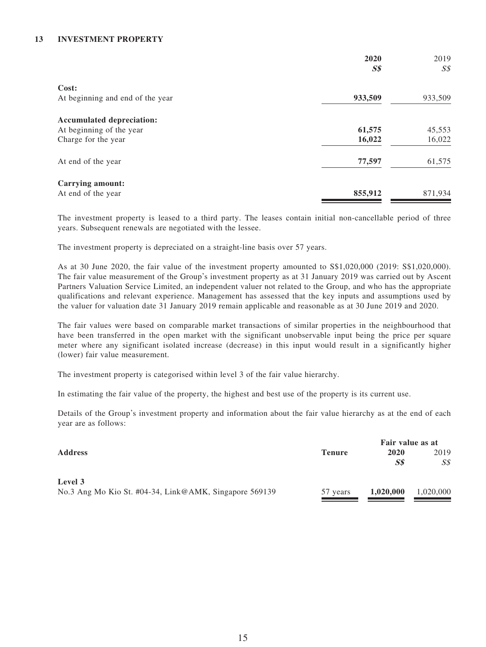### **13 INVESTMENT PROPERTY**

|                                  | 2020           | 2019           |
|----------------------------------|----------------|----------------|
|                                  | S <sub>s</sub> | S <sub>S</sub> |
| Cost:                            |                |                |
| At beginning and end of the year | 933,509        | 933,509        |
| <b>Accumulated depreciation:</b> |                |                |
| At beginning of the year         | 61,575         | 45,553         |
| Charge for the year              | 16,022         | 16,022         |
| At end of the year               | 77,597         | 61,575         |
| Carrying amount:                 |                |                |
| At end of the year               | 855,912        | 871,934        |

The investment property is leased to a third party. The leases contain initial non-cancellable period of three years. Subsequent renewals are negotiated with the lessee.

The investment property is depreciated on a straight-line basis over 57 years.

As at 30 June 2020, the fair value of the investment property amounted to S\$1,020,000 (2019: S\$1,020,000). The fair value measurement of the Group's investment property as at 31 January 2019 was carried out by Ascent Partners Valuation Service Limited, an independent valuer not related to the Group, and who has the appropriate qualifications and relevant experience. Management has assessed that the key inputs and assumptions used by the valuer for valuation date 31 January 2019 remain applicable and reasonable as at 30 June 2019 and 2020.

The fair values were based on comparable market transactions of similar properties in the neighbourhood that have been transferred in the open market with the significant unobservable input being the price per square meter where any significant isolated increase (decrease) in this input would result in a significantly higher (lower) fair value measurement.

The investment property is categorised within level 3 of the fair value hierarchy.

In estimating the fair value of the property, the highest and best use of the property is its current use.

Details of the Group's investment property and information about the fair value hierarchy as at the end of each year are as follows:

|                                                        |               | Fair value as at |           |  |
|--------------------------------------------------------|---------------|------------------|-----------|--|
| <b>Address</b>                                         | <b>Tenure</b> | 2020             | 2019      |  |
|                                                        |               | S\$              | SS        |  |
| Level 3                                                |               |                  |           |  |
| No.3 Ang Mo Kio St. #04-34, Link@AMK, Singapore 569139 | 57 years      | 1,020,000        | 1,020,000 |  |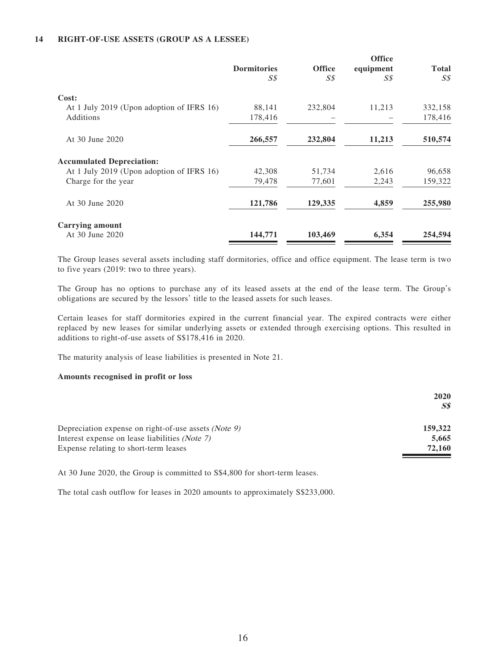### **14 RIGHT-OF-USE ASSETS (GROUP AS A LESSEE)**

|                                           |                    |               | <b>Office</b> |                |
|-------------------------------------------|--------------------|---------------|---------------|----------------|
|                                           | <b>Dormitories</b> | <b>Office</b> | equipment     | <b>Total</b>   |
|                                           | S\$                | SS            | S\$           | S <sub>S</sub> |
| Cost:                                     |                    |               |               |                |
| At 1 July 2019 (Upon adoption of IFRS 16) | 88,141             | 232,804       | 11,213        | 332,158        |
| Additions                                 | 178,416            |               |               | 178,416        |
| At 30 June 2020                           | 266,557            | 232,804       | 11,213        | 510,574        |
| <b>Accumulated Depreciation:</b>          |                    |               |               |                |
| At 1 July 2019 (Upon adoption of IFRS 16) | 42,308             | 51,734        | 2,616         | 96,658         |
| Charge for the year                       | 79,478             | 77,601        | 2,243         | 159,322        |
| At 30 June 2020                           | 121,786            | 129,335       | 4,859         | 255,980        |
| <b>Carrying amount</b>                    |                    |               |               |                |
| At 30 June 2020                           | 144,771            | 103,469       | 6,354         | 254,594        |

The Group leases several assets including staff dormitories, office and office equipment. The lease term is two to five years (2019: two to three years).

The Group has no options to purchase any of its leased assets at the end of the lease term. The Group's obligations are secured by the lessors' title to the leased assets for such leases.

Certain leases for staff dormitories expired in the current financial year. The expired contracts were either replaced by new leases for similar underlying assets or extended through exercising options. This resulted in additions to right-of-use assets of S\$178,416 in 2020.

The maturity analysis of lease liabilities is presented in Note 21.

#### **Amounts recognised in profit or loss**

|                                                         | <b>2020</b><br>SS |
|---------------------------------------------------------|-------------------|
| Depreciation expense on right-of-use assets (Note $9$ ) | 159,322           |
| Interest expense on lease liabilities (Note 7)          | 5,665             |
| Expense relating to short-term leases                   | 72,160            |

At 30 June 2020, the Group is committed to S\$4,800 for short-term leases.

The total cash outflow for leases in 2020 amounts to approximately S\$233,000.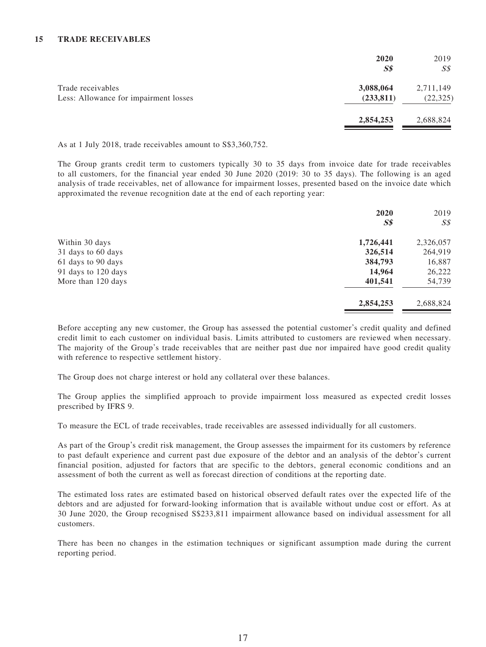#### **15 TRADE RECEIVABLES**

|                                                            | 2020<br>S <sub>s</sub>  | 2019<br>S\$            |
|------------------------------------------------------------|-------------------------|------------------------|
| Trade receivables<br>Less: Allowance for impairment losses | 3,088,064<br>(233, 811) | 2,711,149<br>(22, 325) |
|                                                            | 2,854,253               | 2,688,824              |

As at 1 July 2018, trade receivables amount to S\$3,360,752.

The Group grants credit term to customers typically 30 to 35 days from invoice date for trade receivables to all customers, for the financial year ended 30 June 2020 (2019: 30 to 35 days). The following is an aged analysis of trade receivables, net of allowance for impairment losses, presented based on the invoice date which approximated the revenue recognition date at the end of each reporting year:

|                     | 2020           | 2019           |
|---------------------|----------------|----------------|
|                     | S <sub>s</sub> | $S\mathcal{S}$ |
| Within 30 days      | 1,726,441      | 2,326,057      |
| 31 days to 60 days  | 326,514        | 264,919        |
| 61 days to 90 days  | 384,793        | 16,887         |
| 91 days to 120 days | 14,964         | 26,222         |
| More than 120 days  | 401,541        | 54,739         |
|                     | 2,854,253      | 2,688,824      |

Before accepting any new customer, the Group has assessed the potential customer's credit quality and defined credit limit to each customer on individual basis. Limits attributed to customers are reviewed when necessary. The majority of the Group's trade receivables that are neither past due nor impaired have good credit quality with reference to respective settlement history.

The Group does not charge interest or hold any collateral over these balances.

The Group applies the simplified approach to provide impairment loss measured as expected credit losses prescribed by IFRS 9.

To measure the ECL of trade receivables, trade receivables are assessed individually for all customers.

As part of the Group's credit risk management, the Group assesses the impairment for its customers by reference to past default experience and current past due exposure of the debtor and an analysis of the debtor's current financial position, adjusted for factors that are specific to the debtors, general economic conditions and an assessment of both the current as well as forecast direction of conditions at the reporting date.

The estimated loss rates are estimated based on historical observed default rates over the expected life of the debtors and are adjusted for forward-looking information that is available without undue cost or effort. As at 30 June 2020, the Group recognised S\$233,811 impairment allowance based on individual assessment for all customers.

There has been no changes in the estimation techniques or significant assumption made during the current reporting period.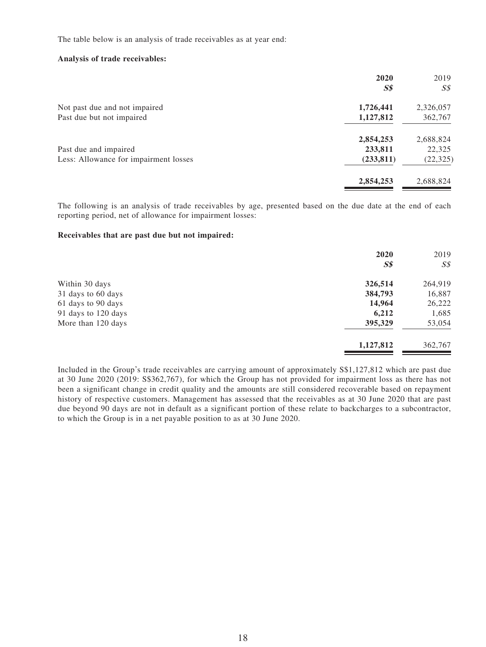The table below is an analysis of trade receivables as at year end:

#### **Analysis of trade receivables:**

|                                       | 2020<br>S <sub>s</sub> | 2019<br>$S\mathcal{S}$ |
|---------------------------------------|------------------------|------------------------|
| Not past due and not impaired         | 1,726,441              | 2,326,057              |
| Past due but not impaired             | 1,127,812              | 362,767                |
|                                       | 2,854,253              | 2,688,824              |
| Past due and impaired                 | 233,811                | 22,325                 |
| Less: Allowance for impairment losses | (233, 811)             | (22, 325)              |
|                                       | 2,854,253              | 2,688,824              |

The following is an analysis of trade receivables by age, presented based on the due date at the end of each reporting period, net of allowance for impairment losses:

### **Receivables that are past due but not impaired:**

|                     | 2020           | 2019           |
|---------------------|----------------|----------------|
|                     | S <sub>s</sub> | $S\mathcal{S}$ |
| Within 30 days      | 326,514        | 264,919        |
| 31 days to 60 days  | 384,793        | 16,887         |
| 61 days to 90 days  | 14,964         | 26,222         |
| 91 days to 120 days | 6,212          | 1,685          |
| More than 120 days  | 395,329        | 53,054         |
|                     | 1,127,812      | 362,767        |

Included in the Group's trade receivables are carrying amount of approximately S\$1,127,812 which are past due at 30 June 2020 (2019: S\$362,767), for which the Group has not provided for impairment loss as there has not been a significant change in credit quality and the amounts are still considered recoverable based on repayment history of respective customers. Management has assessed that the receivables as at 30 June 2020 that are past due beyond 90 days are not in default as a significant portion of these relate to backcharges to a subcontractor, to which the Group is in a net payable position to as at 30 June 2020.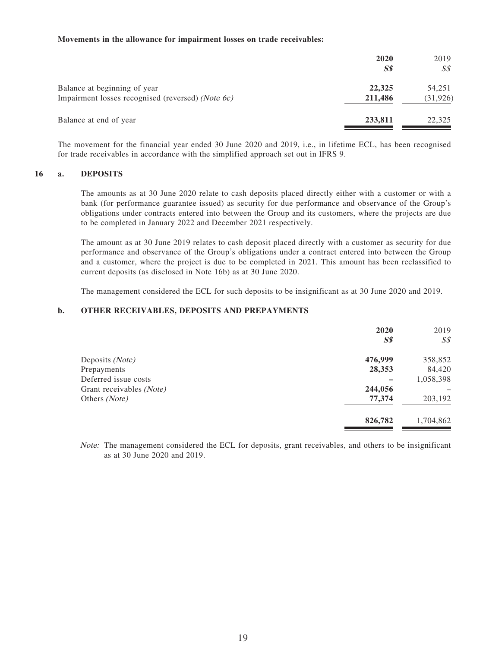#### **Movements in the allowance for impairment losses on trade receivables:**

|                                                                                   | 2020<br>$S\$      | 2019<br>SS          |
|-----------------------------------------------------------------------------------|-------------------|---------------------|
| Balance at beginning of year<br>Impairment losses recognised (reversed) (Note 6c) | 22,325<br>211,486 | 54,251<br>(31, 926) |
| Balance at end of year                                                            | 233,811           | 22,325              |

The movement for the financial year ended 30 June 2020 and 2019, i.e., in lifetime ECL, has been recognised for trade receivables in accordance with the simplified approach set out in IFRS 9.

### **16 a. DEPOSITS**

The amounts as at 30 June 2020 relate to cash deposits placed directly either with a customer or with a bank (for performance guarantee issued) as security for due performance and observance of the Group's obligations under contracts entered into between the Group and its customers, where the projects are due to be completed in January 2022 and December 2021 respectively.

The amount as at 30 June 2019 relates to cash deposit placed directly with a customer as security for due performance and observance of the Group's obligations under a contract entered into between the Group and a customer, where the project is due to be completed in 2021. This amount has been reclassified to current deposits (as disclosed in Note 16b) as at 30 June 2020.

The management considered the ECL for such deposits to be insignificant as at 30 June 2020 and 2019.

#### **b. OTHER RECEIVABLES, DEPOSITS AND PREPAYMENTS**

|                          | 2020    | 2019           |
|--------------------------|---------|----------------|
|                          | $S\$$   | S <sub>s</sub> |
| Deposits (Note)          | 476,999 | 358,852        |
| Prepayments              | 28,353  | 84,420         |
| Deferred issue costs     |         | 1,058,398      |
| Grant receivables (Note) | 244,056 |                |
| Others (Note)            | 77,374  | 203,192        |
|                          | 826,782 | 1,704,862      |
|                          |         |                |

Note: The management considered the ECL for deposits, grant receivables, and others to be insignificant as at 30 June 2020 and 2019.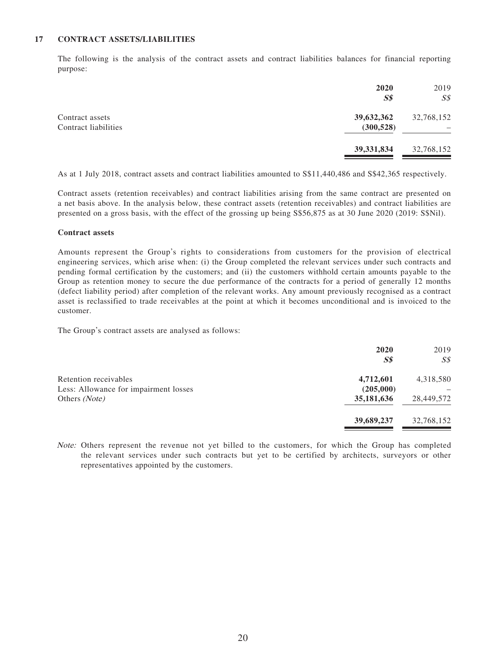#### **17 CONTRACT ASSETS/LIABILITIES**

The following is the analysis of the contract assets and contract liabilities balances for financial reporting purpose:

|                                         | 2020<br>S <sub>s</sub>   | 2019<br>S <sub>s</sub> |
|-----------------------------------------|--------------------------|------------------------|
| Contract assets<br>Contract liabilities | 39,632,362<br>(300, 528) | 32,768,152             |
|                                         | 39, 331, 834             | 32,768,152             |

As at 1 July 2018, contract assets and contract liabilities amounted to S\$11,440,486 and S\$42,365 respectively.

Contract assets (retention receivables) and contract liabilities arising from the same contract are presented on a net basis above. In the analysis below, these contract assets (retention receivables) and contract liabilities are presented on a gross basis, with the effect of the grossing up being S\$56,875 as at 30 June 2020 (2019: S\$Nil).

#### **Contract assets**

Amounts represent the Group's rights to considerations from customers for the provision of electrical engineering services, which arise when: (i) the Group completed the relevant services under such contracts and pending formal certification by the customers; and (ii) the customers withhold certain amounts payable to the Group as retention money to secure the due performance of the contracts for a period of generally 12 months (defect liability period) after completion of the relevant works. Any amount previously recognised as a contract asset is reclassified to trade receivables at the point at which it becomes unconditional and is invoiced to the customer.

The Group's contract assets are analysed as follows:

|                                       | 2020<br>$S\$ | 2019<br>SS |
|---------------------------------------|--------------|------------|
| Retention receivables                 | 4,712,601    | 4,318,580  |
| Less: Allowance for impairment losses | (205,000)    |            |
| Others (Note)                         | 35,181,636   | 28,449,572 |
|                                       | 39,689,237   | 32,768,152 |

Note: Others represent the revenue not yet billed to the customers, for which the Group has completed the relevant services under such contracts but yet to be certified by architects, surveyors or other representatives appointed by the customers.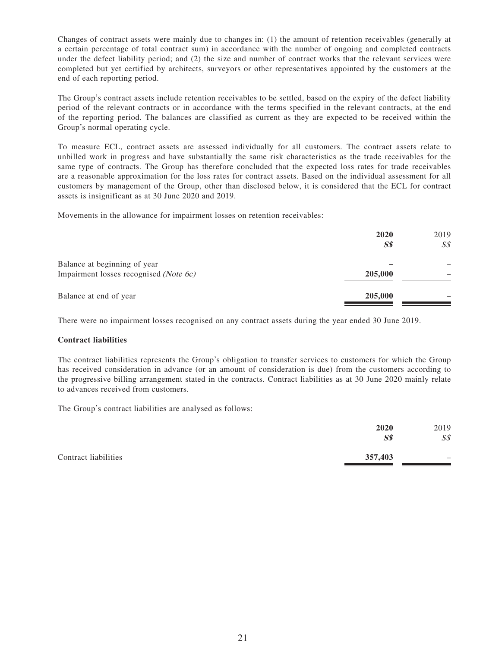Changes of contract assets were mainly due to changes in: (1) the amount of retention receivables (generally at a certain percentage of total contract sum) in accordance with the number of ongoing and completed contracts under the defect liability period; and (2) the size and number of contract works that the relevant services were completed but yet certified by architects, surveyors or other representatives appointed by the customers at the end of each reporting period.

The Group's contract assets include retention receivables to be settled, based on the expiry of the defect liability period of the relevant contracts or in accordance with the terms specified in the relevant contracts, at the end of the reporting period. The balances are classified as current as they are expected to be received within the Group's normal operating cycle.

To measure ECL, contract assets are assessed individually for all customers. The contract assets relate to unbilled work in progress and have substantially the same risk characteristics as the trade receivables for the same type of contracts. The Group has therefore concluded that the expected loss rates for trade receivables are a reasonable approximation for the loss rates for contract assets. Based on the individual assessment for all customers by management of the Group, other than disclosed below, it is considered that the ECL for contract assets is insignificant as at 30 June 2020 and 2019.

Movements in the allowance for impairment losses on retention receivables:

|                                                                        | 2020<br>S <sub>s</sub> | 2019<br>S <sub>s</sub> |
|------------------------------------------------------------------------|------------------------|------------------------|
| Balance at beginning of year<br>Impairment losses recognised (Note 6c) | 205,000                |                        |
| Balance at end of year                                                 | 205,000                |                        |

There were no impairment losses recognised on any contract assets during the year ended 30 June 2019.

### **Contract liabilities**

The contract liabilities represents the Group's obligation to transfer services to customers for which the Group has received consideration in advance (or an amount of consideration is due) from the customers according to the progressive billing arrangement stated in the contracts. Contract liabilities as at 30 June 2020 mainly relate to advances received from customers.

The Group's contract liabilities are analysed as follows:

|                      | 2020<br>S <sub>s</sub> | 2019<br>S <sub>s</sub>   |
|----------------------|------------------------|--------------------------|
| Contract liabilities | 357,403                | $\overline{\phantom{a}}$ |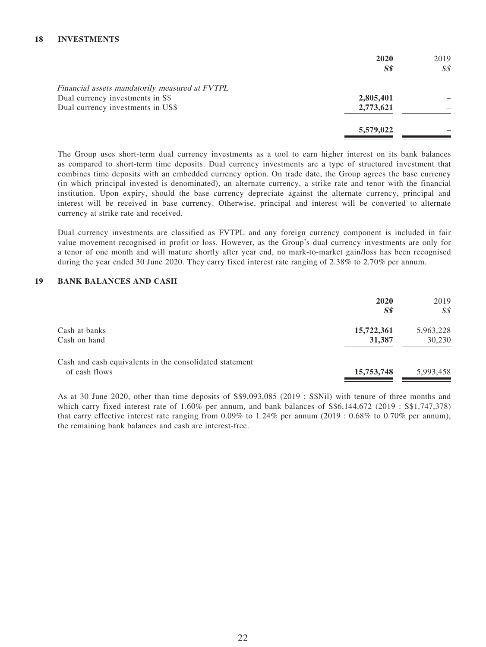|                                                | 2020      | 2019 |
|------------------------------------------------|-----------|------|
|                                                | SS        | SS   |
| Financial assets mandatorily measured at FVTPL |           |      |
| Dual currency investments in S\$               | 2,805,401 |      |
| Dual currency investments in US\$              | 2,773,621 |      |
|                                                | 5,579,022 |      |

The Group uses short-term dual currency investments as a tool to earn higher interest on its bank balances as compared to short-term time deposits. Dual currency investments are a type of structured investment that combines time deposits with an embedded currency option. On trade date, the Group agrees the base currency (in which principal invested is denominated), an alternate currency, a strike rate and tenor with the financial institution. Upon expiry, should the base currency depreciate against the alternate currency, principal and interest will be received in base currency. Otherwise, principal and interest will be converted to alternate currency at strike rate and received.

Dual currency investments are classified as FVTPL and any foreign currency component is included in fair value movement recognised in profit or loss. However, as the Group's dual currency investments are only for a tenor of one month and will mature shortly after year end, no mark-to-market gain/loss has been recognised during the year ended 30 June 2020. They carry fixed interest rate ranging of 2.38% to 2.70% per annum.

#### **19 BANK BALANCES AND CASH**

|                                                         | 2020<br>S <sub>s</sub> | 2019<br>$S\mathcal{S}$ |
|---------------------------------------------------------|------------------------|------------------------|
| Cash at banks                                           | 15,722,361             | 5,963,228              |
| Cash on hand                                            | 31,387                 | 30,230                 |
| Cash and cash equivalents in the consolidated statement |                        |                        |
| of cash flows                                           | 15,753,748             | 5,993,458              |

As at 30 June 2020, other than time deposits of S\$9,093,085 (2019 : S\$Nil) with tenure of three months and which carry fixed interest rate of 1.60% per annum, and bank balances of  $\$6,144,672$  (2019 :  $\$1,747,378$ ) that carry effective interest rate ranging from 0.09% to 1.24% per annum (2019 : 0.68% to 0.70% per annum), the remaining bank balances and cash are interest-free.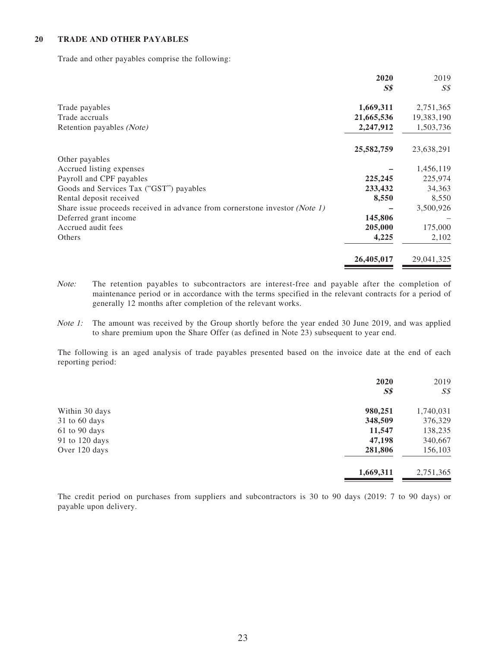#### **20 TRADE AND OTHER PAYABLES**

Trade and other payables comprise the following:

|                                                                             | 2020       | 2019       |
|-----------------------------------------------------------------------------|------------|------------|
|                                                                             | <b>S\$</b> | SS         |
| Trade payables                                                              | 1,669,311  | 2,751,365  |
| Trade accruals                                                              | 21,665,536 | 19,383,190 |
| Retention payables (Note)                                                   | 2,247,912  | 1,503,736  |
|                                                                             | 25,582,759 | 23,638,291 |
| Other payables                                                              |            |            |
| Accrued listing expenses                                                    |            | 1,456,119  |
| Payroll and CPF payables                                                    | 225,245    | 225,974    |
| Goods and Services Tax ("GST") payables                                     | 233,432    | 34,363     |
| Rental deposit received                                                     | 8,550      | 8,550      |
| Share issue proceeds received in advance from cornerstone investor (Note 1) |            | 3,500,926  |
| Deferred grant income                                                       | 145,806    |            |
| Accrued audit fees                                                          | 205,000    | 175,000    |
| Others                                                                      | 4,225      | 2,102      |
|                                                                             | 26,405,017 | 29,041,325 |

Note: The retention payables to subcontractors are interest-free and payable after the completion of maintenance period or in accordance with the terms specified in the relevant contracts for a period of generally 12 months after completion of the relevant works.

Note 1: The amount was received by the Group shortly before the year ended 30 June 2019, and was applied to share premium upon the Share Offer (as defined in Note 23) subsequent to year end.

The following is an aged analysis of trade payables presented based on the invoice date at the end of each reporting period:

|                   | 2020           | 2019           |
|-------------------|----------------|----------------|
|                   | S <sub>s</sub> | S <sub>s</sub> |
| Within 30 days    | 980,251        | 1,740,031      |
| 31 to 60 days     | 348,509        | 376,329        |
| $61$ to $90$ days | 11,547         | 138,235        |
| 91 to 120 days    | 47,198         | 340,667        |
| Over 120 days     | 281,806        | 156,103        |
|                   | 1,669,311      | 2,751,365      |

The credit period on purchases from suppliers and subcontractors is 30 to 90 days (2019: 7 to 90 days) or payable upon delivery.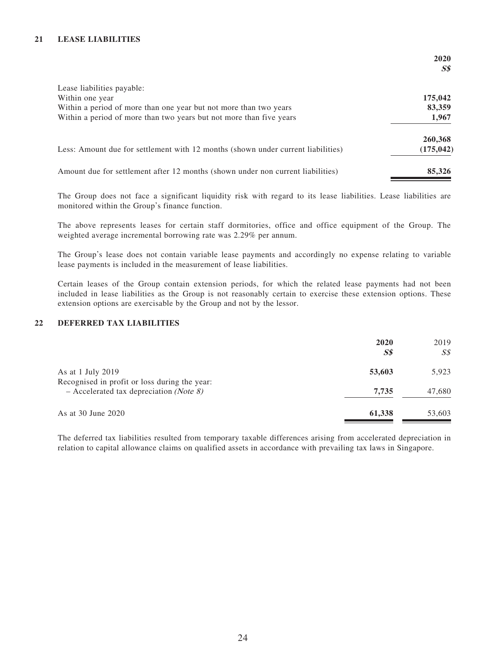### **21 LEASE LIABILITIES**

|                                                                                  | 2020<br>$\boldsymbol{S}\boldsymbol{\mathit{S}}$ |
|----------------------------------------------------------------------------------|-------------------------------------------------|
| Lease liabilities payable:                                                       |                                                 |
| Within one year                                                                  | 175,042                                         |
| Within a period of more than one year but not more than two years                | 83,359                                          |
| Within a period of more than two years but not more than five years              | 1,967                                           |
|                                                                                  | 260,368                                         |
| Less: Amount due for settlement with 12 months (shown under current liabilities) | (175, 042)                                      |
| Amount due for settlement after 12 months (shown under non current liabilities)  | 85,326                                          |

The Group does not face a significant liquidity risk with regard to its lease liabilities. Lease liabilities are monitored within the Group's finance function.

The above represents leases for certain staff dormitories, office and office equipment of the Group. The weighted average incremental borrowing rate was 2.29% per annum.

The Group's lease does not contain variable lease payments and accordingly no expense relating to variable lease payments is included in the measurement of lease liabilities.

Certain leases of the Group contain extension periods, for which the related lease payments had not been included in lease liabilities as the Group is not reasonably certain to exercise these extension options. These extension options are exercisable by the Group and not by the lessor.

### **22 DEFERRED TAX LIABILITIES**

|                                                                                                     | 2020<br>$S\$ | 2019<br>$S\mathcal{S}$ |
|-----------------------------------------------------------------------------------------------------|--------------|------------------------|
| As at 1 July $2019$                                                                                 | 53,603       | 5,923                  |
| Recognised in profit or loss during the year:<br>$-$ Accelerated tax depreciation ( <i>Note 8</i> ) | 7.735        | 47,680                 |
| As at 30 June 2020                                                                                  | 61,338       | 53,603                 |

The deferred tax liabilities resulted from temporary taxable differences arising from accelerated depreciation in relation to capital allowance claims on qualified assets in accordance with prevailing tax laws in Singapore.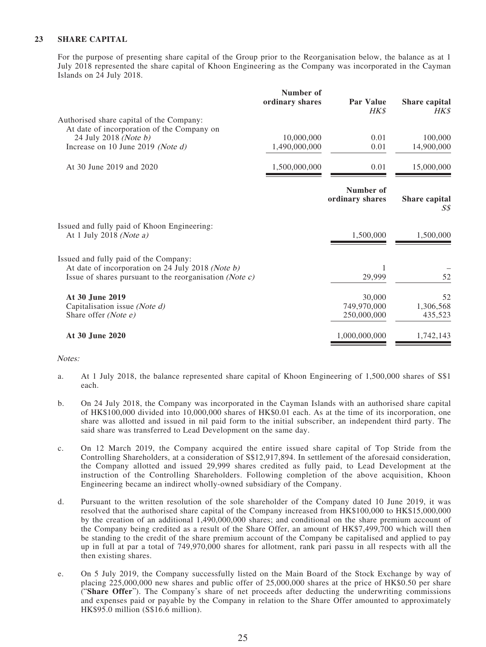### **23 SHARE CAPITAL**

For the purpose of presenting share capital of the Group prior to the Reorganisation below, the balance as at 1 July 2018 represented the share capital of Khoon Engineering as the Company was incorporated in the Cayman Islands on 24 July 2018.

|                                                                                                                 | Number of<br>ordinary shares | <b>Par Value</b><br>HK\$     | Share capital<br><b>HK\$</b> |
|-----------------------------------------------------------------------------------------------------------------|------------------------------|------------------------------|------------------------------|
| Authorised share capital of the Company:<br>At date of incorporation of the Company on                          |                              |                              |                              |
| 24 July 2018 (Note b)                                                                                           | 10,000,000                   | 0.01                         | 100,000                      |
| Increase on 10 June 2019 (Note d)                                                                               | 1,490,000,000                | 0.01                         | 14,900,000                   |
| At 30 June 2019 and 2020                                                                                        | 1,500,000,000                | 0.01                         | 15,000,000                   |
|                                                                                                                 |                              | Number of<br>ordinary shares | Share capital<br>S\$         |
| Issued and fully paid of Khoon Engineering:<br>At 1 July 2018 (Note $a$ )                                       |                              | 1,500,000                    | 1,500,000                    |
| Issued and fully paid of the Company:                                                                           |                              |                              |                              |
| At date of incorporation on 24 July 2018 (Note b)<br>Issue of shares pursuant to the reorganisation (Note $c$ ) |                              | 29,999                       | 52                           |
| At 30 June 2019                                                                                                 |                              | 30,000                       | 52                           |
| Capitalisation issue (Note d)                                                                                   |                              | 749,970,000                  | 1,306,568                    |
| Share offer (Note e)                                                                                            |                              | 250,000,000                  | 435,523                      |
| At 30 June 2020                                                                                                 |                              | 1,000,000,000                | 1,742,143                    |

#### Notes:

- a. At 1 July 2018, the balance represented share capital of Khoon Engineering of 1,500,000 shares of S\$1 each.
- b. On 24 July 2018, the Company was incorporated in the Cayman Islands with an authorised share capital of HK\$100,000 divided into 10,000,000 shares of HK\$0.01 each. As at the time of its incorporation, one share was allotted and issued in nil paid form to the initial subscriber, an independent third party. The said share was transferred to Lead Development on the same day.
- c. On 12 March 2019, the Company acquired the entire issued share capital of Top Stride from the Controlling Shareholders, at a consideration of S\$12,917,894. In settlement of the aforesaid consideration, the Company allotted and issued 29,999 shares credited as fully paid, to Lead Development at the instruction of the Controlling Shareholders. Following completion of the above acquisition, Khoon Engineering became an indirect wholly-owned subsidiary of the Company.
- d. Pursuant to the written resolution of the sole shareholder of the Company dated 10 June 2019, it was resolved that the authorised share capital of the Company increased from HK\$100,000 to HK\$15,000,000 by the creation of an additional 1,490,000,000 shares; and conditional on the share premium account of the Company being credited as a result of the Share Offer, an amount of HK\$7,499,700 which will then be standing to the credit of the share premium account of the Company be capitalised and applied to pay up in full at par a total of 749,970,000 shares for allotment, rank pari passu in all respects with all the then existing shares.
- e. On 5 July 2019, the Company successfully listed on the Main Board of the Stock Exchange by way of placing 225,000,000 new shares and public offer of 25,000,000 shares at the price of HK\$0.50 per share ("**Share Offer**"). The Company's share of net proceeds after deducting the underwriting commissions and expenses paid or payable by the Company in relation to the Share Offer amounted to approximately HK\$95.0 million (S\$16.6 million).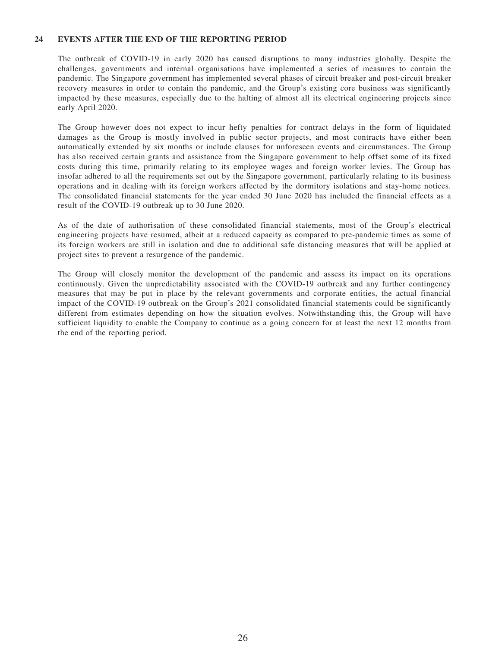#### **24 EVENTS AFTER THE END OF THE REPORTING PERIOD**

The outbreak of COVID-19 in early 2020 has caused disruptions to many industries globally. Despite the challenges, governments and internal organisations have implemented a series of measures to contain the pandemic. The Singapore government has implemented several phases of circuit breaker and post-circuit breaker recovery measures in order to contain the pandemic, and the Group's existing core business was significantly impacted by these measures, especially due to the halting of almost all its electrical engineering projects since early April 2020.

The Group however does not expect to incur hefty penalties for contract delays in the form of liquidated damages as the Group is mostly involved in public sector projects, and most contracts have either been automatically extended by six months or include clauses for unforeseen events and circumstances. The Group has also received certain grants and assistance from the Singapore government to help offset some of its fixed costs during this time, primarily relating to its employee wages and foreign worker levies. The Group has insofar adhered to all the requirements set out by the Singapore government, particularly relating to its business operations and in dealing with its foreign workers affected by the dormitory isolations and stay-home notices. The consolidated financial statements for the year ended 30 June 2020 has included the financial effects as a result of the COVID-19 outbreak up to 30 June 2020.

As of the date of authorisation of these consolidated financial statements, most of the Group's electrical engineering projects have resumed, albeit at a reduced capacity as compared to pre-pandemic times as some of its foreign workers are still in isolation and due to additional safe distancing measures that will be applied at project sites to prevent a resurgence of the pandemic.

The Group will closely monitor the development of the pandemic and assess its impact on its operations continuously. Given the unpredictability associated with the COVID-19 outbreak and any further contingency measures that may be put in place by the relevant governments and corporate entities, the actual financial impact of the COVID-19 outbreak on the Group's 2021 consolidated financial statements could be significantly different from estimates depending on how the situation evolves. Notwithstanding this, the Group will have sufficient liquidity to enable the Company to continue as a going concern for at least the next 12 months from the end of the reporting period.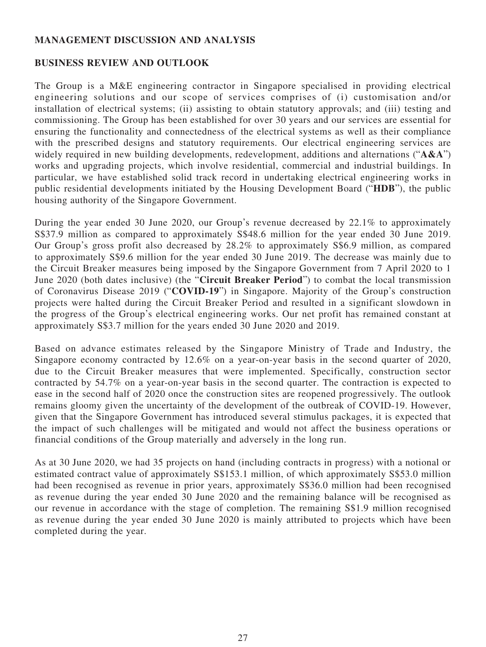## **MANAGEMENT DISCUSSION AND ANALYSIS**

## **BUSINESS REVIEW AND OUTLOOK**

The Group is a M&E engineering contractor in Singapore specialised in providing electrical engineering solutions and our scope of services comprises of (i) customisation and/or installation of electrical systems; (ii) assisting to obtain statutory approvals; and (iii) testing and commissioning. The Group has been established for over 30 years and our services are essential for ensuring the functionality and connectedness of the electrical systems as well as their compliance with the prescribed designs and statutory requirements. Our electrical engineering services are widely required in new building developments, redevelopment, additions and alternations ("**A&A**") works and upgrading projects, which involve residential, commercial and industrial buildings. In particular, we have established solid track record in undertaking electrical engineering works in public residential developments initiated by the Housing Development Board ("**HDB**"), the public housing authority of the Singapore Government.

During the year ended 30 June 2020, our Group's revenue decreased by 22.1% to approximately S\$37.9 million as compared to approximately S\$48.6 million for the year ended 30 June 2019. Our Group's gross profit also decreased by 28.2% to approximately S\$6.9 million, as compared to approximately S\$9.6 million for the year ended 30 June 2019. The decrease was mainly due to the Circuit Breaker measures being imposed by the Singapore Government from 7 April 2020 to 1 June 2020 (both dates inclusive) (the "**Circuit Breaker Period**") to combat the local transmission of Coronavirus Disease 2019 ("**COVID-19**") in Singapore. Majority of the Group's construction projects were halted during the Circuit Breaker Period and resulted in a significant slowdown in the progress of the Group's electrical engineering works. Our net profit has remained constant at approximately S\$3.7 million for the years ended 30 June 2020 and 2019.

Based on advance estimates released by the Singapore Ministry of Trade and Industry, the Singapore economy contracted by 12.6% on a year-on-year basis in the second quarter of 2020, due to the Circuit Breaker measures that were implemented. Specifically, construction sector contracted by 54.7% on a year-on-year basis in the second quarter. The contraction is expected to ease in the second half of 2020 once the construction sites are reopened progressively. The outlook remains gloomy given the uncertainty of the development of the outbreak of COVID-19. However, given that the Singapore Government has introduced several stimulus packages, it is expected that the impact of such challenges will be mitigated and would not affect the business operations or financial conditions of the Group materially and adversely in the long run.

As at 30 June 2020, we had 35 projects on hand (including contracts in progress) with a notional or estimated contract value of approximately S\$153.1 million, of which approximately S\$53.0 million had been recognised as revenue in prior years, approximately S\$36.0 million had been recognised as revenue during the year ended 30 June 2020 and the remaining balance will be recognised as our revenue in accordance with the stage of completion. The remaining S\$1.9 million recognised as revenue during the year ended 30 June 2020 is mainly attributed to projects which have been completed during the year.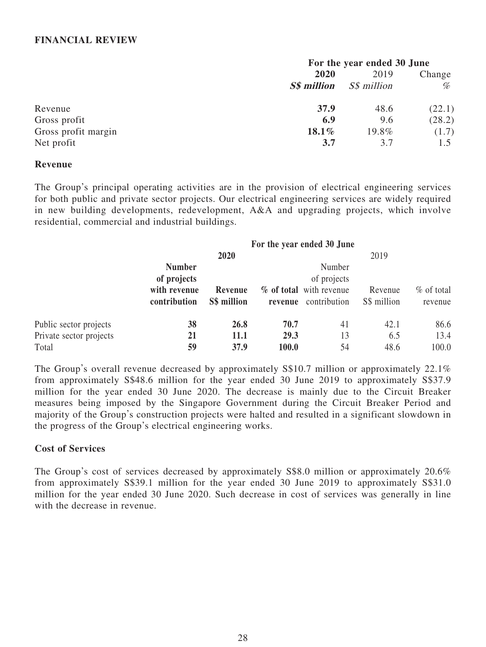## **FINANCIAL REVIEW**

|                     | For the year ended 30 June |                    |        |  |
|---------------------|----------------------------|--------------------|--------|--|
|                     | 2020                       | 2019               | Change |  |
|                     | <b>S\$</b> million         | <i>S\$ million</i> | %      |  |
| Revenue             | 37.9                       | 48.6               | (22.1) |  |
| Gross profit        | 6.9                        | 9.6                | (28.2) |  |
| Gross profit margin | $18.1\%$                   | 19.8%              | (1.7)  |  |
| Net profit          | 3.7                        | 3.7                | 1.5    |  |

### **Revenue**

The Group's principal operating activities are in the provision of electrical engineering services for both public and private sector projects. Our electrical engineering services are widely required in new building developments, redevelopment, A&A and upgrading projects, which involve residential, commercial and industrial buildings.

|                         | For the year ended 30 June |             |         |                         |             |              |
|-------------------------|----------------------------|-------------|---------|-------------------------|-------------|--------------|
|                         |                            | 2020        | 2019    |                         |             |              |
|                         | <b>Number</b>              |             |         | Number                  |             |              |
|                         | of projects                |             |         | of projects             |             |              |
|                         | with revenue               | Revenue     |         | % of total with revenue | Revenue     | $%$ of total |
|                         | contribution               | S\$ million | revenue | contribution            | S\$ million | revenue      |
| Public sector projects  | 38                         | 26.8        | 70.7    | 41                      | 42.1        | 86.6         |
| Private sector projects | 21                         | 11.1        | 29.3    | 13                      | 6.5         | 13.4         |
| Total                   | 59                         | 37.9        | 100.0   | 54                      | 48.6        | 100.0        |

The Group's overall revenue decreased by approximately S\$10.7 million or approximately 22.1% from approximately S\$48.6 million for the year ended 30 June 2019 to approximately S\$37.9 million for the year ended 30 June 2020. The decrease is mainly due to the Circuit Breaker measures being imposed by the Singapore Government during the Circuit Breaker Period and majority of the Group's construction projects were halted and resulted in a significant slowdown in the progress of the Group's electrical engineering works.

## **Cost of Services**

The Group's cost of services decreased by approximately S\$8.0 million or approximately 20.6% from approximately S\$39.1 million for the year ended 30 June 2019 to approximately S\$31.0 million for the year ended 30 June 2020. Such decrease in cost of services was generally in line with the decrease in revenue.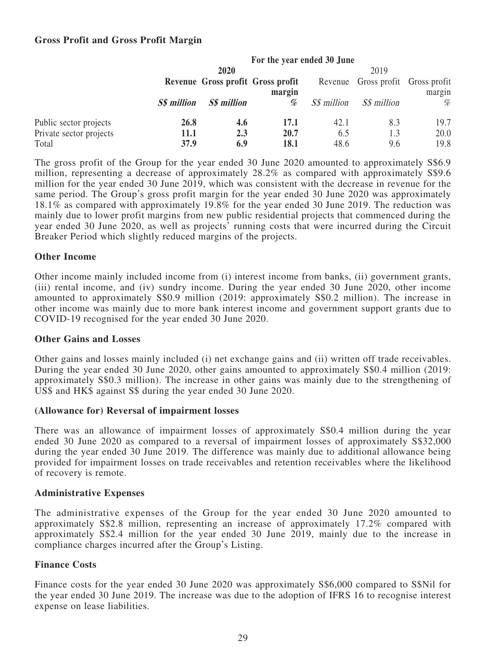## **Gross Profit and Gross Profit Margin**

|                         | For the year ended 30 June |             |                                             |                    |                                   |        |
|-------------------------|----------------------------|-------------|---------------------------------------------|--------------------|-----------------------------------|--------|
|                         |                            | 2020        |                                             |                    | 2019                              |        |
|                         |                            |             | Revenue Gross profit Gross profit<br>margin |                    | Revenue Gross profit Gross profit | margin |
|                         |                            |             |                                             |                    |                                   |        |
|                         | S\$ million                | S\$ million | %                                           | <i>S\$ million</i> | S\$ million                       | %      |
| Public sector projects  | 26.8                       | 4.6         | 17.1                                        | 42.1               | 8.3                               | 19.7   |
| Private sector projects | <b>11.1</b>                | 2.3         | 20.7                                        | 6.5                | 1.3                               | 20.0   |
| Total                   | 37.9                       | 6.9         | 18.1                                        | 48.6               | 9.6                               | 19.8   |

The gross profit of the Group for the year ended 30 June 2020 amounted to approximately S\$6.9 million, representing a decrease of approximately 28.2% as compared with approximately S\$9.6 million for the year ended 30 June 2019, which was consistent with the decrease in revenue for the same period. The Group's gross profit margin for the year ended 30 June 2020 was approximately 18.1% as compared with approximately 19.8% for the year ended 30 June 2019. The reduction was mainly due to lower profit margins from new public residential projects that commenced during the year ended 30 June 2020, as well as projects' running costs that were incurred during the Circuit Breaker Period which slightly reduced margins of the projects.

## **Other Income**

Other income mainly included income from (i) interest income from banks, (ii) government grants, (iii) rental income, and (iv) sundry income. During the year ended 30 June 2020, other income amounted to approximately S\$0.9 million (2019: approximately S\$0.2 million). The increase in other income was mainly due to more bank interest income and government support grants due to COVID-19 recognised for the year ended 30 June 2020.

## **Other Gains and Losses**

Other gains and losses mainly included (i) net exchange gains and (ii) written off trade receivables. During the year ended 30 June 2020, other gains amounted to approximately S\$0.4 million (2019: approximately S\$0.3 million). The increase in other gains was mainly due to the strengthening of US\$ and HK\$ against S\$ during the year ended 30 June 2020.

## **(Allowance for) Reversal of impairment losses**

There was an allowance of impairment losses of approximately S\$0.4 million during the year ended 30 June 2020 as compared to a reversal of impairment losses of approximately S\$32,000 during the year ended 30 June 2019. The difference was mainly due to additional allowance being provided for impairment losses on trade receivables and retention receivables where the likelihood of recovery is remote.

## **Administrative Expenses**

The administrative expenses of the Group for the year ended 30 June 2020 amounted to approximately S\$2.8 million, representing an increase of approximately 17.2% compared with approximately S\$2.4 million for the year ended 30 June 2019, mainly due to the increase in compliance charges incurred after the Group's Listing.

## **Finance Costs**

Finance costs for the year ended 30 June 2020 was approximately S\$6,000 compared to S\$Nil for the year ended 30 June 2019. The increase was due to the adoption of IFRS 16 to recognise interest expense on lease liabilities.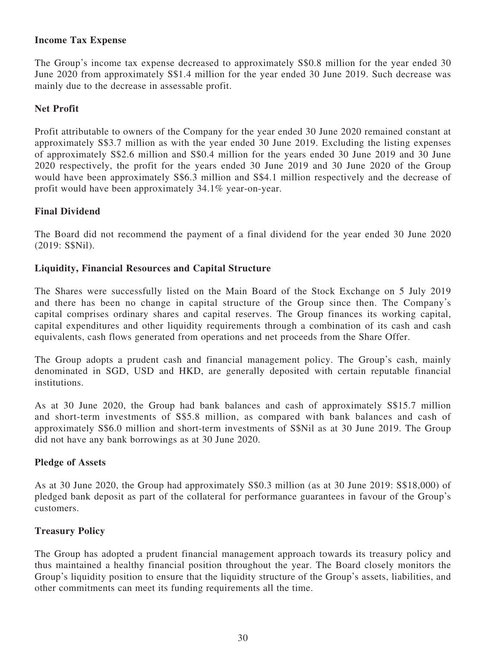# **Income Tax Expense**

The Group's income tax expense decreased to approximately S\$0.8 million for the year ended 30 June 2020 from approximately S\$1.4 million for the year ended 30 June 2019. Such decrease was mainly due to the decrease in assessable profit.

# **Net Profit**

Profit attributable to owners of the Company for the year ended 30 June 2020 remained constant at approximately S\$3.7 million as with the year ended 30 June 2019. Excluding the listing expenses of approximately S\$2.6 million and S\$0.4 million for the years ended 30 June 2019 and 30 June 2020 respectively, the profit for the years ended 30 June 2019 and 30 June 2020 of the Group would have been approximately S\$6.3 million and S\$4.1 million respectively and the decrease of profit would have been approximately 34.1% year-on-year.

# **Final Dividend**

The Board did not recommend the payment of a final dividend for the year ended 30 June 2020 (2019: S\$Nil).

# **Liquidity, Financial Resources and Capital Structure**

The Shares were successfully listed on the Main Board of the Stock Exchange on 5 July 2019 and there has been no change in capital structure of the Group since then. The Company's capital comprises ordinary shares and capital reserves. The Group finances its working capital, capital expenditures and other liquidity requirements through a combination of its cash and cash equivalents, cash flows generated from operations and net proceeds from the Share Offer.

The Group adopts a prudent cash and financial management policy. The Group's cash, mainly denominated in SGD, USD and HKD, are generally deposited with certain reputable financial institutions.

As at 30 June 2020, the Group had bank balances and cash of approximately S\$15.7 million and short-term investments of S\$5.8 million, as compared with bank balances and cash of approximately S\$6.0 million and short-term investments of S\$Nil as at 30 June 2019. The Group did not have any bank borrowings as at 30 June 2020.

# **Pledge of Assets**

As at 30 June 2020, the Group had approximately S\$0.3 million (as at 30 June 2019: S\$18,000) of pledged bank deposit as part of the collateral for performance guarantees in favour of the Group's customers.

# **Treasury Policy**

The Group has adopted a prudent financial management approach towards its treasury policy and thus maintained a healthy financial position throughout the year. The Board closely monitors the Group's liquidity position to ensure that the liquidity structure of the Group's assets, liabilities, and other commitments can meet its funding requirements all the time.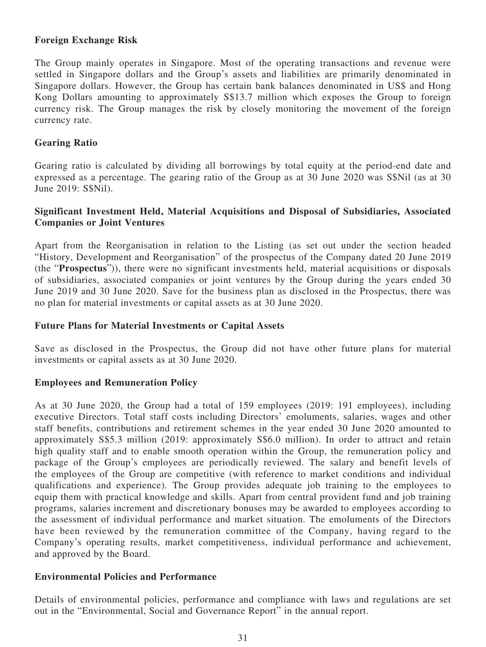# **Foreign Exchange Risk**

The Group mainly operates in Singapore. Most of the operating transactions and revenue were settled in Singapore dollars and the Group's assets and liabilities are primarily denominated in Singapore dollars. However, the Group has certain bank balances denominated in US\$ and Hong Kong Dollars amounting to approximately S\$13.7 million which exposes the Group to foreign currency risk. The Group manages the risk by closely monitoring the movement of the foreign currency rate.

## **Gearing Ratio**

Gearing ratio is calculated by dividing all borrowings by total equity at the period-end date and expressed as a percentage. The gearing ratio of the Group as at 30 June 2020 was S\$Nil (as at 30 June 2019: S\$Nil).

## **Significant Investment Held, Material Acquisitions and Disposal of Subsidiaries, Associated Companies or Joint Ventures**

Apart from the Reorganisation in relation to the Listing (as set out under the section headed "History, Development and Reorganisation" of the prospectus of the Company dated 20 June 2019 (the "**Prospectus**")), there were no significant investments held, material acquisitions or disposals of subsidiaries, associated companies or joint ventures by the Group during the years ended 30 June 2019 and 30 June 2020. Save for the business plan as disclosed in the Prospectus, there was no plan for material investments or capital assets as at 30 June 2020.

## **Future Plans for Material Investments or Capital Assets**

Save as disclosed in the Prospectus, the Group did not have other future plans for material investments or capital assets as at 30 June 2020.

## **Employees and Remuneration Policy**

As at 30 June 2020, the Group had a total of 159 employees (2019: 191 employees), including executive Directors. Total staff costs including Directors' emoluments, salaries, wages and other staff benefits, contributions and retirement schemes in the year ended 30 June 2020 amounted to approximately S\$5.3 million (2019: approximately S\$6.0 million). In order to attract and retain high quality staff and to enable smooth operation within the Group, the remuneration policy and package of the Group's employees are periodically reviewed. The salary and benefit levels of the employees of the Group are competitive (with reference to market conditions and individual qualifications and experience). The Group provides adequate job training to the employees to equip them with practical knowledge and skills. Apart from central provident fund and job training programs, salaries increment and discretionary bonuses may be awarded to employees according to the assessment of individual performance and market situation. The emoluments of the Directors have been reviewed by the remuneration committee of the Company, having regard to the Company's operating results, market competitiveness, individual performance and achievement, and approved by the Board.

## **Environmental Policies and Performance**

Details of environmental policies, performance and compliance with laws and regulations are set out in the "Environmental, Social and Governance Report" in the annual report.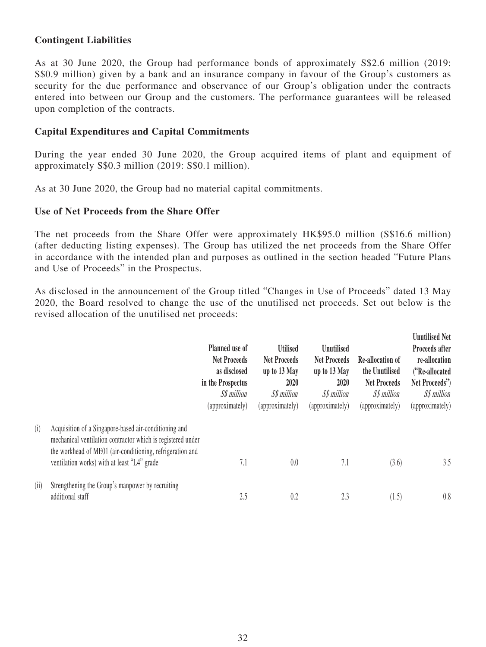## **Contingent Liabilities**

As at 30 June 2020, the Group had performance bonds of approximately S\$2.6 million (2019: S\$0.9 million) given by a bank and an insurance company in favour of the Group's customers as security for the due performance and observance of our Group's obligation under the contracts entered into between our Group and the customers. The performance guarantees will be released upon completion of the contracts.

## **Capital Expenditures and Capital Commitments**

During the year ended 30 June 2020, the Group acquired items of plant and equipment of approximately S\$0.3 million (2019: S\$0.1 million).

As at 30 June 2020, the Group had no material capital commitments.

### **Use of Net Proceeds from the Share Offer**

The net proceeds from the Share Offer were approximately HK\$95.0 million (S\$16.6 million) (after deducting listing expenses). The Group has utilized the net proceeds from the Share Offer in accordance with the intended plan and purposes as outlined in the section headed "Future Plans and Use of Proceeds" in the Prospectus.

As disclosed in the announcement of the Group titled "Changes in Use of Proceeds" dated 13 May 2020, the Board resolved to change the use of the unutilised net proceeds. Set out below is the revised allocation of the unutilised net proceeds:

|      |                                                                                                                                                                                                                                  | Planned use of<br><b>Net Proceeds</b><br>as disclosed<br>in the Prospectus<br>S\$ million<br>(approximately) | <b>Utilised</b><br><b>Net Proceeds</b><br>up to 13 May<br>2020<br>S\$ million<br>(approximately) | <b>Unutilised</b><br><b>Net Proceeds</b><br>up to 13 May<br>2020<br>S\$ million<br>(approximately) | Re-allocation of<br>the Unutilised<br><b>Net Proceeds</b><br>S\$ million<br>(approximately) | <b>Unutilised Net</b><br>Proceeds after<br>re-allocation<br>("Re-allocated<br>Net Proceeds")<br>S\$ million<br>(approximately) |
|------|----------------------------------------------------------------------------------------------------------------------------------------------------------------------------------------------------------------------------------|--------------------------------------------------------------------------------------------------------------|--------------------------------------------------------------------------------------------------|----------------------------------------------------------------------------------------------------|---------------------------------------------------------------------------------------------|--------------------------------------------------------------------------------------------------------------------------------|
| (i)  | Acquisition of a Singapore-based air-conditioning and<br>mechanical ventilation contractor which is registered under<br>the workhead of ME01 (air-conditioning, refrigeration and<br>ventilation works) with at least "L4" grade | 7.1                                                                                                          | 0.0                                                                                              | 7.1                                                                                                | (3.6)                                                                                       | 3.5                                                                                                                            |
| (ii) | Strengthening the Group's manpower by recruiting<br>additional staff                                                                                                                                                             | 2.5                                                                                                          | 0.2                                                                                              | 2.3                                                                                                | (1.5)                                                                                       | 0.8                                                                                                                            |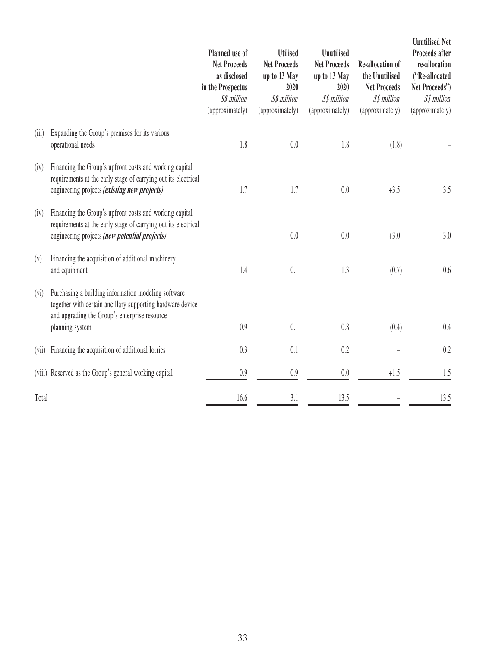|         |                                                                                                                                                                                       | Planned use of<br><b>Net Proceeds</b><br>as disclosed<br>in the Prospectus<br>S\$ million<br>(approximately) | <b>Utilised</b><br><b>Net Proceeds</b><br>up to 13 May<br>2020<br>S\$ million<br>(approximately) | <b>Unutilised</b><br><b>Net Proceeds</b><br>up to 13 May<br>2020<br>S\$ million<br>(approximately) | Re-allocation of<br>the Unutilised<br><b>Net Proceeds</b><br>S\$ million<br>(approximately) | <b>Unutilised Net</b><br>Proceeds after<br>re-allocation<br>("Re-allocated<br>Net Proceeds")<br>S\$ million<br>(approximately) |
|---------|---------------------------------------------------------------------------------------------------------------------------------------------------------------------------------------|--------------------------------------------------------------------------------------------------------------|--------------------------------------------------------------------------------------------------|----------------------------------------------------------------------------------------------------|---------------------------------------------------------------------------------------------|--------------------------------------------------------------------------------------------------------------------------------|
| (iii)   | Expanding the Group's premises for its various<br>operational needs                                                                                                                   | 1.8                                                                                                          | 0.0                                                                                              | 1.8                                                                                                | (1.8)                                                                                       |                                                                                                                                |
| (iv)    | Financing the Group's upfront costs and working capital<br>requirements at the early stage of carrying out its electrical<br>engineering projects <i>(existing new projects)</i>      | 1.7                                                                                                          | 1.7                                                                                              | 0.0                                                                                                | $+3.5$                                                                                      | 3.5                                                                                                                            |
| (iv)    | Financing the Group's upfront costs and working capital<br>requirements at the early stage of carrying out its electrical<br>engineering projects (new potential projects)            |                                                                                                              | 0.0                                                                                              | 0.0                                                                                                | $+3.0$                                                                                      | 3.0                                                                                                                            |
| (v)     | Financing the acquisition of additional machinery<br>and equipment                                                                                                                    | 1.4                                                                                                          | 0.1                                                                                              | 1.3                                                                                                | (0.7)                                                                                       | 0.6                                                                                                                            |
| $(v_i)$ | Purchasing a building information modeling software<br>together with certain ancillary supporting hardware device<br>and upgrading the Group's enterprise resource<br>planning system | 0.9                                                                                                          | 0.1                                                                                              | 0.8                                                                                                | (0.4)                                                                                       | 0.4                                                                                                                            |
| (vii)   | Financing the acquisition of additional lorries                                                                                                                                       | 0.3                                                                                                          | 0.1                                                                                              | 0.2                                                                                                |                                                                                             | 0.2                                                                                                                            |
|         | (viii) Reserved as the Group's general working capital                                                                                                                                | 0.9                                                                                                          | 0.9                                                                                              | 0.0                                                                                                | $+1.5$                                                                                      | 1.5                                                                                                                            |
| Total   |                                                                                                                                                                                       | 16.6                                                                                                         | 3.1                                                                                              | 13.5                                                                                               |                                                                                             | 13.5                                                                                                                           |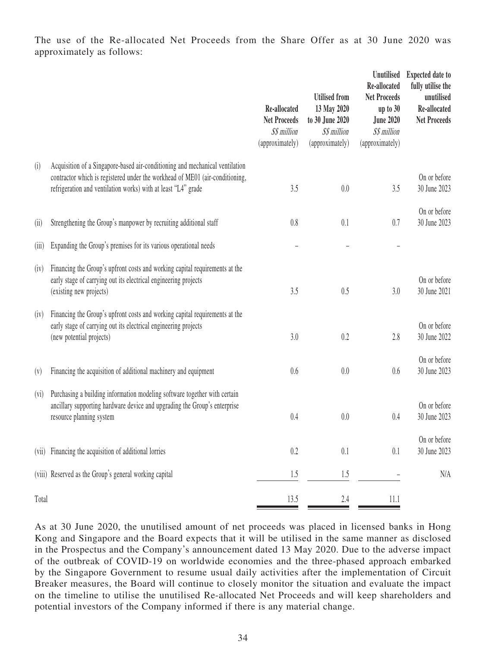The use of the Re-allocated Net Proceeds from the Share Offer as at 30 June 2020 was approximately as follows:

|         |                                                                                                                                                                                                                               | Re-allocated<br><b>Net Proceeds</b><br>S\$ million<br>(approximately) | <b>Utilised</b> from<br>13 May 2020<br>to 30 June 2020<br>S\$ million<br>(approximately) | <b>Unutilised</b><br>Re-allocated<br><b>Net Proceeds</b><br>up to $30$<br><b>June 2020</b><br>S\$ million<br>(approximately) | <b>Expected date to</b><br>fully utilise the<br>unutilised<br>Re-allocated<br><b>Net Proceeds</b> |
|---------|-------------------------------------------------------------------------------------------------------------------------------------------------------------------------------------------------------------------------------|-----------------------------------------------------------------------|------------------------------------------------------------------------------------------|------------------------------------------------------------------------------------------------------------------------------|---------------------------------------------------------------------------------------------------|
| (i)     | Acquisition of a Singapore-based air-conditioning and mechanical ventilation<br>contractor which is registered under the workhead of ME01 (air-conditioning,<br>refrigeration and ventilation works) with at least "L4" grade | 3.5                                                                   | 0.0                                                                                      | 3.5                                                                                                                          | On or before<br>30 June 2023                                                                      |
| (ii)    | Strengthening the Group's manpower by recruiting additional staff                                                                                                                                                             | 0.8                                                                   | 0.1                                                                                      | 0.7                                                                                                                          | On or before<br>30 June 2023                                                                      |
| (iii)   | Expanding the Group's premises for its various operational needs                                                                                                                                                              |                                                                       |                                                                                          |                                                                                                                              |                                                                                                   |
| (iv)    | Financing the Group's upfront costs and working capital requirements at the<br>early stage of carrying out its electrical engineering projects<br>(existing new projects)                                                     | 3.5                                                                   | 0.5                                                                                      | 3.0                                                                                                                          | On or before<br>30 June 2021                                                                      |
| (iv)    | Financing the Group's upfront costs and working capital requirements at the<br>early stage of carrying out its electrical engineering projects<br>(new potential projects)                                                    | 3.0                                                                   | 0.2                                                                                      | 2.8                                                                                                                          | On or before<br>30 June 2022                                                                      |
| (v)     | Financing the acquisition of additional machinery and equipment                                                                                                                                                               | 0.6                                                                   | 0.0                                                                                      | 0.6                                                                                                                          | On or before<br>30 June 2023                                                                      |
| $(v_i)$ | Purchasing a building information modeling software together with certain<br>ancillary supporting hardware device and upgrading the Group's enterprise<br>resource planning system                                            | 0.4                                                                   | 0.0                                                                                      | 0.4                                                                                                                          | On or before<br>30 June 2023                                                                      |
|         | (vii) Financing the acquisition of additional lorries                                                                                                                                                                         | 0.2                                                                   | 0.1                                                                                      | 0.1                                                                                                                          | On or before<br>30 June 2023                                                                      |
|         | (viii) Reserved as the Group's general working capital                                                                                                                                                                        | $1.5\,$                                                               | $1.5\,$                                                                                  |                                                                                                                              | N/A                                                                                               |
| Total   |                                                                                                                                                                                                                               | 13.5                                                                  | 2.4                                                                                      | 11.1                                                                                                                         |                                                                                                   |

As at 30 June 2020, the unutilised amount of net proceeds was placed in licensed banks in Hong Kong and Singapore and the Board expects that it will be utilised in the same manner as disclosed in the Prospectus and the Company's announcement dated 13 May 2020. Due to the adverse impact of the outbreak of COVID-19 on worldwide economies and the three-phased approach embarked by the Singapore Government to resume usual daily activities after the implementation of Circuit Breaker measures, the Board will continue to closely monitor the situation and evaluate the impact on the timeline to utilise the unutilised Re-allocated Net Proceeds and will keep shareholders and potential investors of the Company informed if there is any material change.